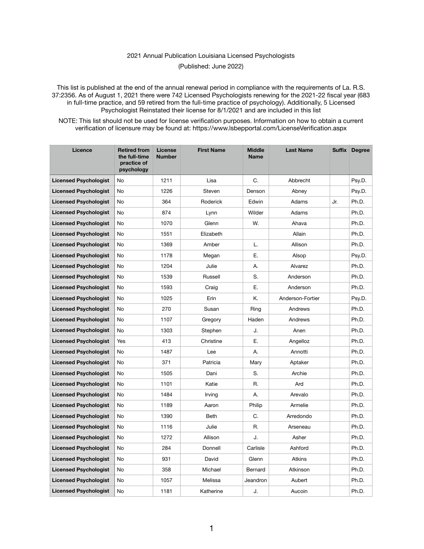## 2021 Annual Publication Louisiana Licensed Psychologists (Published: June 2022)

This list is published at the end of the annual renewal period in compliance with the requirements of La. R.S. 37:2356. As of August 1, 2021 there were 742 Licensed Psychologists renewing for the 2021-22 fiscal year (683 in full-time practice, and 59 retired from the full-time practice of psychology). Additionally, 5 Licensed Psychologist Reinstated their license for 8/1/2021 and are included in this list

NOTE: This list should not be used for license verification purposes. Information on how to obtain a current verification of licensure may be found at: https://www.lsbepportal.com/LicenseVerification.aspx

| Licence                      | <b>Retired from</b><br>the full-time<br>practice of<br>psychology | <b>License</b><br><b>Number</b> | <b>First Name</b> | <b>Middle</b><br><b>Name</b> | <b>Last Name</b> |     | Suffix Degree |
|------------------------------|-------------------------------------------------------------------|---------------------------------|-------------------|------------------------------|------------------|-----|---------------|
| <b>Licensed Psychologist</b> | No                                                                | 1211                            | Lisa              | C.                           | Abbrecht         |     | Psy.D.        |
| <b>Licensed Psychologist</b> | No                                                                | 1226                            | Steven            | Denson                       | Abney            |     | Psy.D.        |
| <b>Licensed Psychologist</b> | No                                                                | 364                             | Roderick          | Edwin                        | Adams            | Jr. | Ph.D.         |
| <b>Licensed Psychologist</b> | No                                                                | 874                             | Lynn              | Wilder                       | Adams            |     | Ph.D.         |
| <b>Licensed Psychologist</b> | No                                                                | 1070                            | Glenn             | W.                           | Ahava            |     | Ph.D.         |
| <b>Licensed Psychologist</b> | No                                                                | 1551                            | Elizabeth         |                              | Allain           |     | Ph.D.         |
| <b>Licensed Psychologist</b> | No                                                                | 1369                            | Amber             | L.                           | Allison          |     | Ph.D.         |
| <b>Licensed Psychologist</b> | No                                                                | 1178                            | Megan             | Ε.                           | Alsop            |     | Psy.D.        |
| <b>Licensed Psychologist</b> | No                                                                | 1204                            | Julie             | А.                           | Alvarez          |     | Ph.D.         |
| <b>Licensed Psychologist</b> | No                                                                | 1539                            | Russell           | S.                           | Anderson         |     | Ph.D.         |
| <b>Licensed Psychologist</b> | No                                                                | 1593                            | Craig             | Ε.                           | Anderson         |     | Ph.D.         |
| <b>Licensed Psychologist</b> | No                                                                | 1025                            | Erin              | Κ.                           | Anderson-Fortier |     | Psy.D.        |
| <b>Licensed Psychologist</b> | No                                                                | 270                             | Susan             | Ring                         | Andrews          |     | Ph.D.         |
| <b>Licensed Psychologist</b> | No                                                                | 1107                            | Gregory           | Haden                        | Andrews          |     | Ph.D.         |
| <b>Licensed Psychologist</b> | No                                                                | 1303                            | Stephen           | J.                           | Anen             |     | Ph.D.         |
| <b>Licensed Psychologist</b> | Yes                                                               | 413                             | Christine         | Ε.                           | Angelloz         |     | Ph.D.         |
| <b>Licensed Psychologist</b> | No                                                                | 1487                            | Lee               | А.                           | Annotti          |     | Ph.D.         |
| <b>Licensed Psychologist</b> | No                                                                | 371                             | Patricia          | Mary                         | Aptaker          |     | Ph.D.         |
| <b>Licensed Psychologist</b> | No                                                                | 1505                            | Dani              | S.                           | Archie           |     | Ph.D.         |
| <b>Licensed Psychologist</b> | No                                                                | 1101                            | Katie             | R.                           | Ard              |     | Ph.D.         |
| <b>Licensed Psychologist</b> | No                                                                | 1484                            | Irving            | А.                           | Arevalo          |     | Ph.D.         |
| <b>Licensed Psychologist</b> | No                                                                | 1189                            | Aaron             | Philip                       | Armelie          |     | Ph.D.         |
| <b>Licensed Psychologist</b> | No                                                                | 1390                            | <b>Beth</b>       | C.                           | Arredondo        |     | Ph.D.         |
| <b>Licensed Psychologist</b> | No                                                                | 1116                            | Julie             | R.                           | Arseneau         |     | Ph.D.         |
| <b>Licensed Psychologist</b> | No                                                                | 1272                            | Allison           | J.                           | Asher            |     | Ph.D.         |
| <b>Licensed Psychologist</b> | No                                                                | 284                             | Donnell           | Carlisle                     | Ashford          |     | Ph.D.         |
| <b>Licensed Psychologist</b> | No                                                                | 931                             | David             | Glenn                        | Atkins           |     | Ph.D.         |
| <b>Licensed Psychologist</b> | No                                                                | 358                             | Michael           | Bernard                      | Atkinson         |     | Ph.D.         |
| <b>Licensed Psychologist</b> | No                                                                | 1057                            | Melissa           | Jeandron                     | Aubert           |     | Ph.D.         |
| <b>Licensed Psychologist</b> | No                                                                | 1181                            | Katherine         | J.                           | Aucoin           |     | Ph.D.         |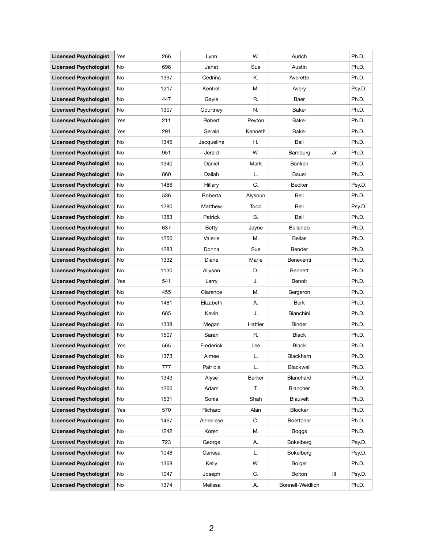| <b>Licensed Psychologist</b> | Yes | 266  | Lynn       | W.      | Aurich           |     | Ph.D.  |
|------------------------------|-----|------|------------|---------|------------------|-----|--------|
| <b>Licensed Psychologist</b> | No  | 696  | Janet      | Sue     | Austin           |     | Ph.D.  |
| <b>Licensed Psychologist</b> | No  | 1397 | Cedrina    | Κ.      | Averette         |     | Ph.D.  |
| <b>Licensed Psychologist</b> | No  | 1217 | Kentrell   | М.      | Avery            |     | Psy.D. |
| <b>Licensed Psychologist</b> | No  | 447  | Gayle      | R.      | Baer             |     | Ph.D.  |
| <b>Licensed Psychologist</b> | No  | 1307 | Courtney   | N.      | <b>Baker</b>     |     | Ph.D.  |
| <b>Licensed Psychologist</b> | Yes | 211  | Robert     | Peyton  | <b>Baker</b>     |     | Ph.D.  |
| <b>Licensed Psychologist</b> | Yes | 291  | Gerald     | Kenneth | <b>Baker</b>     |     | Ph.D.  |
| <b>Licensed Psychologist</b> | No  | 1345 | Jacqueline | Η.      | Ball             |     | Ph.D.  |
| <b>Licensed Psychologist</b> | No  | 951  | Jerald     | W.      | Bamburg          | Jr. | Ph.D.  |
| <b>Licensed Psychologist</b> | No  | 1340 | Daniel     | Mark    | Banken           |     | Ph.D.  |
| <b>Licensed Psychologist</b> | No  | 860  | Daliah     | L.      | Bauer            |     | Ph.D.  |
| <b>Licensed Psychologist</b> | No  | 1486 | Hillary    | C.      | <b>Becker</b>    |     | Psy.D. |
| <b>Licensed Psychologist</b> | No  | 536  | Roberta    | Alysoun | Bell             |     | Ph.D.  |
| <b>Licensed Psychologist</b> | No  | 1280 | Matthew    | Todd    | Bell             |     | Psy.D. |
| <b>Licensed Psychologist</b> | No  | 1383 | Patrick    | В.      | Bell             |     | Ph.D.  |
| <b>Licensed Psychologist</b> | No  | 637  | Betty      | Jayne   | Bellando         |     | Ph.D.  |
| <b>Licensed Psychologist</b> | No  | 1256 | Valerie    | М.      | <b>Bellas</b>    |     | Ph.D.  |
| <b>Licensed Psychologist</b> | No  | 1283 | Donna      | Sue     | Bender           |     | Ph.D.  |
| <b>Licensed Psychologist</b> | No  | 1332 | Diane      | Marie   | Beneventi        |     | Ph.D.  |
| <b>Licensed Psychologist</b> | No  | 1130 | Allyson    | D.      | <b>Bennett</b>   |     | Ph.D.  |
| <b>Licensed Psychologist</b> | Yes | 541  | Larry      | J.      | Benoit           |     | Ph.D.  |
| <b>Licensed Psychologist</b> | No  | 455  | Clarence   | М.      | Bergeron         |     | Ph.D.  |
| <b>Licensed Psychologist</b> | No  | 1481 | Elizabeth  | Α.      | <b>Berk</b>      |     | Ph.D.  |
| <b>Licensed Psychologist</b> | No  | 685  | Kevin      | J.      | Bianchini        |     | Ph.D.  |
| <b>Licensed Psychologist</b> | No  | 1338 | Megan      | Hattier | Binder           |     | Ph.D.  |
| <b>Licensed Psychologist</b> | No  | 1507 | Sarah      | R.      | <b>Black</b>     |     | Ph.D.  |
| <b>Licensed Psychologist</b> | Yes | 565  | Frederick  | Lee     | <b>Black</b>     |     | Ph.D.  |
| <b>Licensed Psychologist</b> | No  | 1373 | Aimee      | L.      | Blackham         |     | Ph.D.  |
| <b>Licensed Psychologist</b> | No  | 777  | Patricia   | L.      | Blackwell        |     | Ph.D.  |
| <b>Licensed Psychologist</b> | No  | 1343 | Alyse      | Barker  | Blanchard        |     | Ph.D.  |
| <b>Licensed Psychologist</b> | No  | 1266 | Adam       | T.      | Blancher         |     | Ph.D.  |
| <b>Licensed Psychologist</b> | No  | 1531 | Sonia      | Shah    | Blauvelt         |     | Ph.D.  |
| <b>Licensed Psychologist</b> | Yes | 570  | Richard    | Alan    | <b>Blocker</b>   |     | Ph.D.  |
| <b>Licensed Psychologist</b> | No  | 1467 | Anneliese  | C.      | <b>Boettcher</b> |     | Ph.D.  |
| <b>Licensed Psychologist</b> | No  | 1242 | Koren      | M.      | <b>Boggs</b>     |     | Ph.D.  |
| <b>Licensed Psychologist</b> | No  | 723  | George     | А.      | <b>Bokelberg</b> |     | Psy.D. |
| <b>Licensed Psychologist</b> | No  | 1048 | Carissa    | L.      | Bokelberg        |     | Psy.D. |
| <b>Licensed Psychologist</b> | No  | 1368 | Kelly      | W.      | Bolger           |     | Ph.D.  |
| <b>Licensed Psychologist</b> | No  | 1047 | Joseph     | C.      | <b>Bolton</b>    | Ш   | Psy.D. |
| <b>Licensed Psychologist</b> | No  | 1374 | Melissa    | А.      | Bonnell-Weidlich |     | Ph.D.  |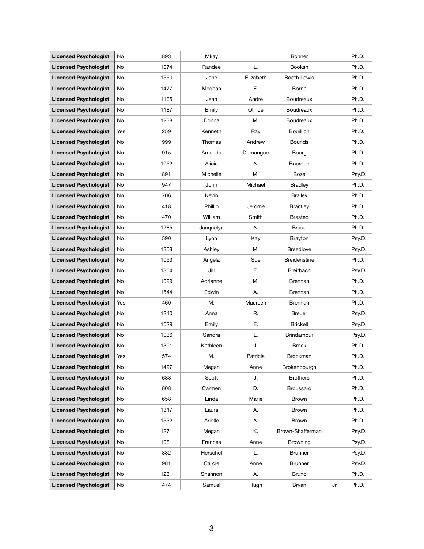| <b>Licensed Psychologist</b> | No  | 893  | Mkay      |           | Bonner              |     | Ph.D.  |
|------------------------------|-----|------|-----------|-----------|---------------------|-----|--------|
| <b>Licensed Psychologist</b> | No  | 1074 | Randee    | L.        | Booksh              |     | Ph.D.  |
| <b>Licensed Psychologist</b> | No  | 1550 | Jane      | Elizabeth | <b>Booth Lewis</b>  |     | Ph.D.  |
| <b>Licensed Psychologist</b> | No  | 1477 | Meghan    | Е.        | Borne               |     | Ph.D.  |
| <b>Licensed Psychologist</b> | No  | 1105 | Jean      | Andre     | <b>Boudreaux</b>    |     | Ph.D.  |
| <b>Licensed Psychologist</b> | No  | 1187 | Emily     | Olinde    | <b>Boudreaux</b>    |     | Ph.D.  |
| <b>Licensed Psychologist</b> | No  | 1238 | Donna     | М.        | <b>Boudreaux</b>    |     | Ph.D.  |
| <b>Licensed Psychologist</b> | Yes | 259  | Kenneth   | Ray       | <b>Bouillion</b>    |     | Ph.D.  |
| <b>Licensed Psychologist</b> | No  | 999  | Thomas    | Andrew    | <b>Bounds</b>       |     | Ph.D.  |
| <b>Licensed Psychologist</b> | No  | 915  | Amanda    | Domangue  | Bourg               |     | Ph.D.  |
| <b>Licensed Psychologist</b> | No  | 1052 | Alicia    | Α.        | Bourque             |     | Ph.D.  |
| <b>Licensed Psychologist</b> | No  | 891  | Michelle  | М.        | Boze                |     | Psy.D. |
| <b>Licensed Psychologist</b> | No  | 947  | John      | Michael   | <b>Bradley</b>      |     | Ph.D.  |
| <b>Licensed Psychologist</b> | No  | 706  | Kevin     |           | <b>Brailey</b>      |     | Ph.D.  |
| <b>Licensed Psychologist</b> | No  | 418  | Phillip   | Jerome    | Brantley            |     | Ph.D.  |
| <b>Licensed Psychologist</b> | No  | 470  | William   | Smith     | <b>Brasted</b>      |     | Ph.D.  |
| <b>Licensed Psychologist</b> | No  | 1285 | Jacquelyn | А.        | <b>Braud</b>        |     | Ph.D.  |
| <b>Licensed Psychologist</b> | No  | 590  | Lynn      | Kay       | Brayton             |     | Psy.D. |
| <b>Licensed Psychologist</b> | No  | 1358 | Ashley    | М.        | <b>Breedlove</b>    |     | Psy.D. |
| <b>Licensed Psychologist</b> | No  | 1053 | Angela    | Sue       | <b>Breidenstine</b> |     | Ph.D.  |
| <b>Licensed Psychologist</b> | No  | 1354 | Jill      | Е.        | <b>Breitbach</b>    |     | Psy.D. |
| <b>Licensed Psychologist</b> | No  | 1099 | Adrianne  | М.        | Brennan             |     | Ph.D.  |
| <b>Licensed Psychologist</b> | No  | 1544 | Edwin     | А.        | Brennan             |     | Ph.D.  |
| <b>Licensed Psychologist</b> | Yes | 460  | Μ.        | Maureen   | Brennan             |     | Ph.D.  |
| <b>Licensed Psychologist</b> | No  | 1240 | Anna      | R.        | <b>Breuer</b>       |     | Psy.D. |
| <b>Licensed Psychologist</b> | No  | 1529 | Emily     | Ε.        | <b>Brickell</b>     |     | Psy.D. |
| <b>Licensed Psychologist</b> | No  | 1036 | Sandra    | L.        | Brindamour          |     | Psy.D. |
| <b>Licensed Psychologist</b> | No  | 1391 | Kathleen  | J.        | <b>Brock</b>        |     | Ph.D.  |
| <b>Licensed Psychologist</b> | Yes | 574  | M.        | Patricia  | <b>Brockman</b>     |     | Ph.D.  |
| <b>Licensed Psychologist</b> | No  | 1497 | Megan     | Anne      | Brokenbourgh        |     | Ph.D.  |
| <b>Licensed Psychologist</b> | No  | 688  | Scott     | J.        | <b>Brothers</b>     |     | Ph.D.  |
| <b>Licensed Psychologist</b> | No  | 808  | Carmen    | D.        | Broussard           |     | Ph.D.  |
| <b>Licensed Psychologist</b> | No  | 658  | Linda     | Marie     | Brown               |     | Ph.D.  |
| <b>Licensed Psychologist</b> | No  | 1317 | Laura     | А.        | <b>Brown</b>        |     | Ph.D.  |
| <b>Licensed Psychologist</b> | No  | 1532 | Arielle   | А.        | <b>Brown</b>        |     | Ph.D.  |
| <b>Licensed Psychologist</b> | No  | 1271 | Megan     | Κ.        | Brown-Shafferman    |     | Psy.D. |
| <b>Licensed Psychologist</b> | No  | 1081 | Frances   | Anne      | Browning            |     | Psy.D. |
| <b>Licensed Psychologist</b> | No  | 882  | Herschel  | L.        | <b>Brunner</b>      |     | Psy.D. |
| <b>Licensed Psychologist</b> | No  | 981  | Carole    | Anne      | <b>Brunner</b>      |     | Psy.D. |
| <b>Licensed Psychologist</b> | No  | 1231 | Shannon   | Α.        | <b>Bruno</b>        |     | Ph.D.  |
| <b>Licensed Psychologist</b> | No  | 474  | Samuel    | Hugh      | Bryan               | Jr. | Ph.D.  |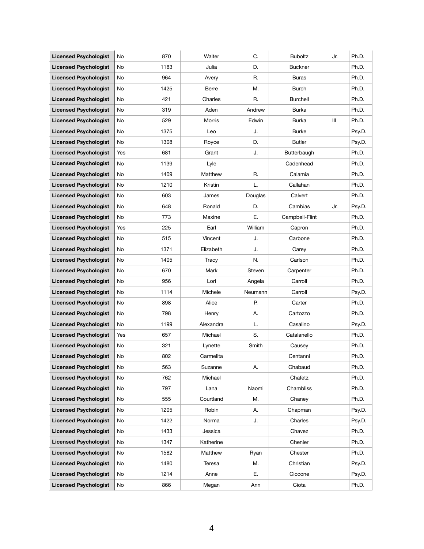| <b>Licensed Psychologist</b> | No  | 870  | Walter    | C.      | <b>Buboltz</b>  | Jr. | Ph.D.  |
|------------------------------|-----|------|-----------|---------|-----------------|-----|--------|
| <b>Licensed Psychologist</b> | No  | 1183 | Julia     | D.      | <b>Buckner</b>  |     | Ph.D.  |
| <b>Licensed Psychologist</b> | No  | 964  | Avery     | R.      | <b>Buras</b>    |     | Ph.D.  |
| <b>Licensed Psychologist</b> | No  | 1425 | Berre     | М.      | <b>Burch</b>    |     | Ph.D.  |
| <b>Licensed Psychologist</b> | No  | 421  | Charles   | R.      | <b>Burchell</b> |     | Ph.D.  |
| <b>Licensed Psychologist</b> | No  | 319  | Aden      | Andrew  | Burka           |     | Ph.D.  |
| <b>Licensed Psychologist</b> | No  | 529  | Morris    | Edwin   | <b>Burka</b>    | Ш   | Ph.D.  |
| <b>Licensed Psychologist</b> | No  | 1375 | Leo       | J.      | <b>Burke</b>    |     | Psy.D. |
| <b>Licensed Psychologist</b> | No  | 1308 | Royce     | D.      | <b>Butler</b>   |     | Psy.D. |
| <b>Licensed Psychologist</b> | Yes | 681  | Grant     | J.      | Butterbaugh     |     | Ph.D.  |
| <b>Licensed Psychologist</b> | No  | 1139 | Lyle      |         | Cadenhead       |     | Ph.D.  |
| <b>Licensed Psychologist</b> | No  | 1409 | Matthew   | R.      | Calamia         |     | Ph.D.  |
| <b>Licensed Psychologist</b> | No  | 1210 | Kristin   | L.      | Callahan        |     | Ph.D.  |
| <b>Licensed Psychologist</b> | No  | 603  | James     | Douglas | Calvert         |     | Ph.D.  |
| <b>Licensed Psychologist</b> | No  | 648  | Ronald    | D.      | Cambias         | Jr. | Psy.D. |
| <b>Licensed Psychologist</b> | No  | 773  | Maxine    | Е.      | Campbell-Flint  |     | Ph.D.  |
| <b>Licensed Psychologist</b> | Yes | 225  | Earl      | William | Capron          |     | Ph.D.  |
| <b>Licensed Psychologist</b> | No  | 515  | Vincent   | J.      | Carbone         |     | Ph.D.  |
| <b>Licensed Psychologist</b> | No  | 1371 | Elizabeth | J.      | Carey           |     | Ph.D.  |
| <b>Licensed Psychologist</b> | No  | 1405 | Tracy     | N.      | Carlson         |     | Ph.D.  |
| <b>Licensed Psychologist</b> | No  | 670  | Mark      | Steven  | Carpenter       |     | Ph.D.  |
| <b>Licensed Psychologist</b> | No  | 956  | Lori      | Angela  | Carroll         |     | Ph.D.  |
| <b>Licensed Psychologist</b> | No  | 1114 | Michele   | Neumann | Carroll         |     | Psy.D. |
| <b>Licensed Psychologist</b> | No  | 898  | Alice     | P.      | Carter          |     | Ph.D.  |
| <b>Licensed Psychologist</b> | No  | 798  | Henry     | Α.      | Cartozzo        |     | Ph.D.  |
| <b>Licensed Psychologist</b> | No  | 1199 | Alexandra | L.      | Casalino        |     | Psy.D. |
| <b>Licensed Psychologist</b> | Yes | 657  | Michael   | S.      | Catalanello     |     | Ph.D.  |
| <b>Licensed Psychologist</b> | No  | 321  | Lynette   | Smith   | Causey          |     | Ph.D.  |
| <b>Licensed Psychologist</b> | No  | 802  | Carmelita |         | Centanni        |     | Ph.D.  |
| <b>Licensed Psychologist</b> | No  | 563  | Suzanne   | А.      | Chabaud         |     | Ph.D.  |
| <b>Licensed Psychologist</b> | No  | 762  | Michael   |         | Chafetz         |     | Ph.D.  |
| <b>Licensed Psychologist</b> | No  | 797  | Lana      | Naomi   | Chambliss       |     | Ph.D.  |
| <b>Licensed Psychologist</b> | No  | 555  | Courtland | М.      | Chaney          |     | Ph.D.  |
| <b>Licensed Psychologist</b> | No  | 1205 | Robin     | А.      | Chapman         |     | Psy.D. |
| <b>Licensed Psychologist</b> | No  | 1422 | Norma     | J.      | Charles         |     | Psy.D. |
| <b>Licensed Psychologist</b> | No  | 1433 | Jessica   |         | Chavez          |     | Ph.D.  |
| <b>Licensed Psychologist</b> | No  | 1347 | Katherine |         | Chenier         |     | Ph.D.  |
| <b>Licensed Psychologist</b> | No  | 1582 | Matthew   | Ryan    | Chester         |     | Ph.D.  |
| <b>Licensed Psychologist</b> | No  | 1480 | Teresa    | М.      | Christian       |     | Psy.D. |
| <b>Licensed Psychologist</b> | No  | 1214 | Anne      | Е.      | Ciccone         |     | Psy.D. |
| <b>Licensed Psychologist</b> | No  | 866  | Megan     | Ann     | Ciota           |     | Ph.D.  |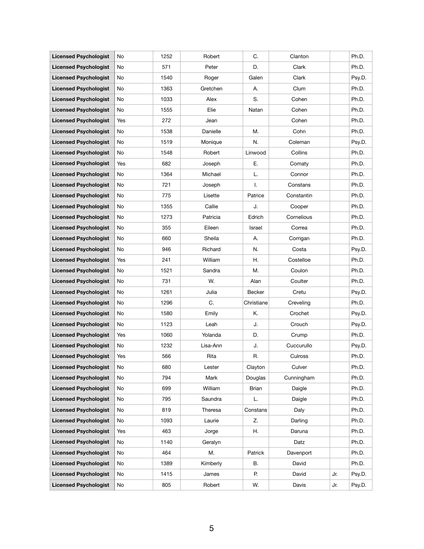| <b>Licensed Psychologist</b> | No  | 1252 | Robert   | C.            | Clanton    |     | Ph.D.  |
|------------------------------|-----|------|----------|---------------|------------|-----|--------|
| <b>Licensed Psychologist</b> | No  | 571  | Peter    | D.            | Clark      |     | Ph.D.  |
| <b>Licensed Psychologist</b> | No  | 1540 | Roger    | Galen         | Clark      |     | Psy.D. |
| <b>Licensed Psychologist</b> | No  | 1363 | Gretchen | А.            | Clum       |     | Ph.D.  |
| <b>Licensed Psychologist</b> | No  | 1033 | Alex     | S.            | Cohen      |     | Ph.D.  |
| <b>Licensed Psychologist</b> | No  | 1555 | Elie     | Natan         | Cohen      |     | Ph.D.  |
| <b>Licensed Psychologist</b> | Yes | 272  | Jean     |               | Cohen      |     | Ph.D.  |
| <b>Licensed Psychologist</b> | No  | 1538 | Danielle | М.            | Cohn       |     | Ph.D.  |
| <b>Licensed Psychologist</b> | No  | 1519 | Monique  | N.            | Coleman    |     | Psy.D. |
| <b>Licensed Psychologist</b> | No  | 1548 | Robert   | Linwood       | Collins    |     | Ph.D.  |
| <b>Licensed Psychologist</b> | Yes | 682  | Joseph   | Е.            | Comaty     |     | Ph.D.  |
| <b>Licensed Psychologist</b> | No  | 1364 | Michael  | L.            | Connor     |     | Ph.D.  |
| <b>Licensed Psychologist</b> | No  | 721  | Joseph   | Ι.            | Constans   |     | Ph.D.  |
| <b>Licensed Psychologist</b> | No  | 775  | Lisette  | Patrice       | Constantin |     | Ph.D.  |
| <b>Licensed Psychologist</b> | No  | 1355 | Callie   | J.            | Cooper     |     | Ph.D.  |
| <b>Licensed Psychologist</b> | No  | 1273 | Patricia | Edrich        | Cornelious |     | Ph.D.  |
| <b>Licensed Psychologist</b> | No  | 355  | Eileen   | Israel        | Correa     |     | Ph.D.  |
| <b>Licensed Psychologist</b> | No  | 660  | Sheila   | А.            | Corrigan   |     | Ph.D.  |
| <b>Licensed Psychologist</b> | No  | 946  | Richard  | N.            | Costa      |     | Psy.D. |
| <b>Licensed Psychologist</b> | Yes | 241  | William  | Η.            | Costelloe  |     | Ph.D.  |
| <b>Licensed Psychologist</b> | No  | 1521 | Sandra   | М.            | Coulon     |     | Ph.D.  |
| <b>Licensed Psychologist</b> | No  | 731  | W.       | Alan          | Coulter    |     | Ph.D.  |
| <b>Licensed Psychologist</b> | No  | 1261 | Julia    | <b>Becker</b> | Cretu      |     | Psy.D. |
| <b>Licensed Psychologist</b> | No  | 1296 | C.       | Christiane    | Creveling  |     | Ph.D.  |
| <b>Licensed Psychologist</b> | No  | 1580 | Emily    | Κ.            | Crochet    |     | Psy.D. |
| <b>Licensed Psychologist</b> | No  | 1123 | Leah     | J.            | Crouch     |     | Psy.D. |
| <b>Licensed Psychologist</b> | Yes | 1060 | Yolanda  | D.            | Crump      |     | Ph.D.  |
| <b>Licensed Psychologist</b> | No  | 1232 | Lisa-Ann | J.            | Cuccurullo |     | Psy.D. |
| <b>Licensed Psychologist</b> | Yes | 566  | Rita     | R.            | Culross    |     | Ph.D.  |
| <b>Licensed Psychologist</b> | No  | 680  | Lester   | Clayton       | Culver     |     | Ph.D.  |
| <b>Licensed Psychologist</b> | No  | 794  | Mark     | Douglas       | Cunningham |     | Ph.D.  |
| <b>Licensed Psychologist</b> | No  | 699  | William  | Brian         | Daigle     |     | Ph.D.  |
| <b>Licensed Psychologist</b> | No  | 795  | Saundra  | L.            | Daigle     |     | Ph.D.  |
| <b>Licensed Psychologist</b> | No  | 819  | Theresa  | Constans      | Daly       |     | Ph.D.  |
| <b>Licensed Psychologist</b> | No  | 1093 | Laurie   | Z.            | Darling    |     | Ph.D.  |
| <b>Licensed Psychologist</b> | Yes | 463  | Jorge    | Η.            | Daruna     |     | Ph.D.  |
| <b>Licensed Psychologist</b> | No  | 1140 | Geralyn  |               | Datz       |     | Ph.D.  |
| <b>Licensed Psychologist</b> | No  | 464  | М.       | Patrick       | Davenport  |     | Ph.D.  |
| <b>Licensed Psychologist</b> | No  | 1389 | Kimberly | В.            | David      |     | Ph.D.  |
| <b>Licensed Psychologist</b> | No  | 1415 | James    | Р.            | David      | Jr. | Psy.D. |
| <b>Licensed Psychologist</b> | No  | 805  | Robert   | W.            | Davis      | Jr. | Psy.D. |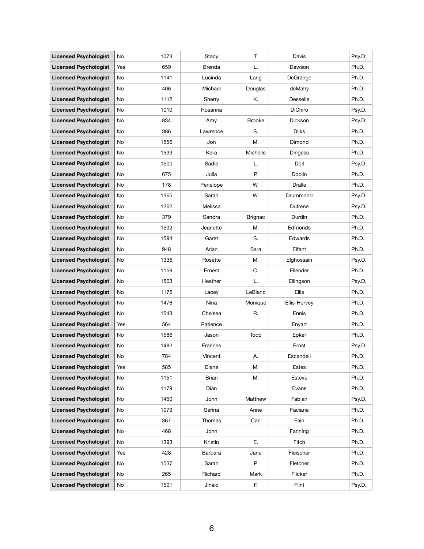| <b>Licensed Psychologist</b> | No  | 1073 | Stacy         | T.             | Davis          | Psy.D. |
|------------------------------|-----|------|---------------|----------------|----------------|--------|
| <b>Licensed Psychologist</b> | Yes | 659  | <b>Brenda</b> | L.             | Dawson         | Ph.D.  |
| <b>Licensed Psychologist</b> | No  | 1141 | Lucinda       | Lang           | DeGrange       | Ph.D.  |
| <b>Licensed Psychologist</b> | No  | 406  | Michael       | Douglas        | deMahy         | Ph.D.  |
| <b>Licensed Psychologist</b> | No  | 1112 | Sherry        | Κ.             | Desselle       | Ph.D.  |
| <b>Licensed Psychologist</b> | No  | 1010 | Rosanna       |                | <b>DiChiro</b> | Psy.D. |
| <b>Licensed Psychologist</b> | No  | 834  | Amy           | <b>Brooke</b>  | Dickson        | Psy.D. |
| <b>Licensed Psychologist</b> | No  | 386  | Lawrence      | S.             | <b>Dilks</b>   | Ph.D.  |
| <b>Licensed Psychologist</b> | No  | 1556 | Jon           | М.             | Dimond         | Ph.D.  |
| <b>Licensed Psychologist</b> | No  | 1533 | Kara          | Michelle       | Dingess        | Ph.D.  |
| <b>Licensed Psychologist</b> | No  | 1500 | Sadie         | L.             | Doll           | Psy.D. |
| <b>Licensed Psychologist</b> | No  | 675  | Julia         | P.             | Doolin         | Ph.D.  |
| <b>Licensed Psychologist</b> | No  | 178  | Penelope      | W.             | Dralle         | Ph.D.  |
| <b>Licensed Psychologist</b> | No  | 1365 | Sarah         | W.             | Drummond       | Psy.D. |
| <b>Licensed Psychologist</b> | No  | 1262 | Melissa       |                | Dufrene        | Psy.D. |
| <b>Licensed Psychologist</b> | No  | 379  | Sandra        | <b>Brignac</b> | Durdin         | Ph.D.  |
| <b>Licensed Psychologist</b> | No  | 1592 | Jeanette      | М.             | Edmonds        | Ph.D.  |
| <b>Licensed Psychologist</b> | No  | 1594 | Garet         | S.             | Edwards        | Ph.D.  |
| <b>Licensed Psychologist</b> | No  | 948  | Arian         | Sara           | Elfant         | Ph.D.  |
| <b>Licensed Psychologist</b> | No  | 1336 | Rosette       | М.             | Elghossain     | Psy.D. |
| <b>Licensed Psychologist</b> | No  | 1159 | Ernest        | C.             | Ellender       | Ph.D.  |
| <b>Licensed Psychologist</b> | No  | 1503 | Heather       | L.             | Ellingson      | Psy.D. |
| <b>Licensed Psychologist</b> | No  | 1175 | Lacey         | LeBlanc        | <b>Ellis</b>   | Ph.D.  |
| <b>Licensed Psychologist</b> | No  | 1476 | Nina          | Monique        | Ellis-Hervey   | Ph.D.  |
| <b>Licensed Psychologist</b> | No  | 1543 | Chelsea       | R.             | Ennis          | Ph.D.  |
| <b>Licensed Psychologist</b> | Yes | 564  | Patience      |                | Enyart         | Ph.D.  |
| <b>Licensed Psychologist</b> | No  | 1586 | Jason         | Todd           | Epker          | Ph.D.  |
| <b>Licensed Psychologist</b> | No  | 1482 | Frances       |                | Ernst          | Psy.D. |
| <b>Licensed Psychologist</b> | No  | 784  | Vincent       | А.             | Escandell      | Ph.D.  |
| <b>Licensed Psychologist</b> | Yes | 585  | Diane         | М.             | <b>Estes</b>   | Ph.D.  |
| <b>Licensed Psychologist</b> | No  | 1151 | Brian         | М.             | Esteve         | Ph.D.  |
| <b>Licensed Psychologist</b> | No  | 1179 | Dian          |                | Evans          | Ph.D.  |
| <b>Licensed Psychologist</b> | No  | 1450 | John          | Matthew        | Fabian         | Psy.D. |
| <b>Licensed Psychologist</b> | No  | 1079 | Serina        | Anne           | Faciane        | Ph.D.  |
| <b>Licensed Psychologist</b> | No  | 367  | Thomas        | Carl           | Fain           | Ph.D.  |
| <b>Licensed Psychologist</b> | No  | 468  | John          |                | Fanning        | Ph.D.  |
| <b>Licensed Psychologist</b> | No  | 1393 | Kristin       | Е.             | Fitch          | Ph.D.  |
| <b>Licensed Psychologist</b> | Yes | 428  | Barbara       | Jane           | Fleischer      | Ph.D.  |
| <b>Licensed Psychologist</b> | No  | 1537 | Sarah         | P.             | Fletcher       | Ph.D.  |
| <b>Licensed Psychologist</b> | No  | 265  | Richard       | Mark           | Flicker        | Ph.D.  |
| <b>Licensed Psychologist</b> | No  | 1501 | Jinaki        | F.             | Flint          | Psy.D. |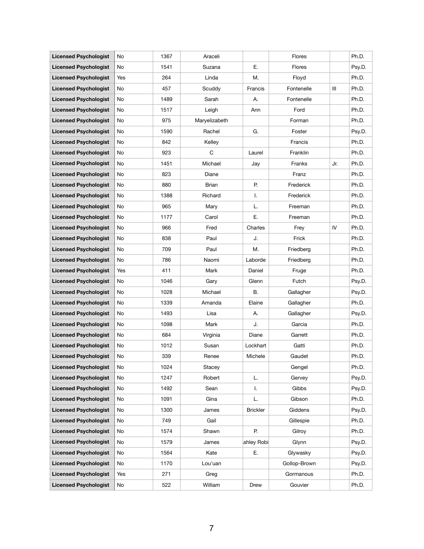| <b>Licensed Psychologist</b> | No  | 1367 | Araceli       |                 | Flores       |     | Ph.D.  |
|------------------------------|-----|------|---------------|-----------------|--------------|-----|--------|
| <b>Licensed Psychologist</b> | No  | 1541 | Suzana        | Е.              | Flores       |     | Psy.D. |
| <b>Licensed Psychologist</b> | Yes | 264  | Linda         | М.              | Floyd        |     | Ph.D.  |
| <b>Licensed Psychologist</b> | No  | 457  | Scuddy        | Francis         | Fontenelle   | Ш   | Ph.D.  |
| <b>Licensed Psychologist</b> | No  | 1489 | Sarah         | А.              | Fontenelle   |     | Ph.D.  |
| <b>Licensed Psychologist</b> | No  | 1517 | Leigh         | Ann             | Ford         |     | Ph.D.  |
| <b>Licensed Psychologist</b> | No  | 975  | Maryelizabeth |                 | Forman       |     | Ph.D.  |
| <b>Licensed Psychologist</b> | No  | 1590 | Rachel        | G.              | Foster       |     | Psy.D. |
| <b>Licensed Psychologist</b> | No  | 842  | Kelley        |                 | Francis      |     | Ph.D.  |
| <b>Licensed Psychologist</b> | No  | 923  | C             | Laurel          | Franklin     |     | Ph.D.  |
| <b>Licensed Psychologist</b> | No  | 1451 | Michael       | Jay             | Franks       | Jr. | Ph.D.  |
| <b>Licensed Psychologist</b> | No  | 823  | Diane         |                 | Franz        |     | Ph.D.  |
| <b>Licensed Psychologist</b> | No  | 880  | Brian         | Р.              | Frederick    |     | Ph.D.  |
| <b>Licensed Psychologist</b> | No  | 1388 | Richard       | I.              | Frederick    |     | Ph.D.  |
| <b>Licensed Psychologist</b> | No  | 965  | Mary          | L.              | Freeman      |     | Ph.D.  |
| <b>Licensed Psychologist</b> | No  | 1177 | Carol         | Е.              | Freeman      |     | Ph.D.  |
| <b>Licensed Psychologist</b> | No  | 966  | Fred          | Charles         | Frey         | IV  | Ph.D.  |
| <b>Licensed Psychologist</b> | No  | 838  | Paul          | J.              | Frick        |     | Ph.D.  |
| <b>Licensed Psychologist</b> | No  | 709  | Paul          | М.              | Friedberg    |     | Ph.D.  |
| <b>Licensed Psychologist</b> | No  | 786  | Naomi         | Laborde         | Friedberg    |     | Ph.D.  |
| <b>Licensed Psychologist</b> | Yes | 411  | Mark          | Daniel          | Fruge        |     | Ph.D.  |
| <b>Licensed Psychologist</b> | No  | 1046 | Gary          | Glenn           | Futch        |     | Psy.D. |
| <b>Licensed Psychologist</b> | No  | 1028 | Michael       | В.              | Gallagher    |     | Psy.D. |
| <b>Licensed Psychologist</b> | No  | 1339 | Amanda        | Elaine          | Gallagher    |     | Ph.D.  |
| <b>Licensed Psychologist</b> | No  | 1493 | Lisa          | А.              | Gallagher    |     | Psy.D. |
| <b>Licensed Psychologist</b> | No  | 1098 | Mark          | J.              | Garcia       |     | Ph.D.  |
| <b>Licensed Psychologist</b> | No  | 684  | Virginia      | Diane           | Garrett      |     | Ph.D.  |
| <b>Licensed Psychologist</b> | No  | 1012 | Susan         | Lockhart        | Gatti        |     | Ph.D.  |
| <b>Licensed Psychologist</b> | No  | 339  | Renee         | Michele         | Gaudet       |     | Ph.D.  |
| <b>Licensed Psychologist</b> | No  | 1024 | Stacey        |                 | Gengel       |     | Ph.D.  |
| <b>Licensed Psychologist</b> | No  | 1247 | Robert        | L.              | Gervey       |     | Psy.D. |
| <b>Licensed Psychologist</b> | No  | 1492 | Sean          | I.              | Gibbs        |     | Psy.D. |
| <b>Licensed Psychologist</b> | No  | 1091 | Gina          | L.              | Gibson       |     | Ph.D.  |
| <b>Licensed Psychologist</b> | No  | 1300 | James         | <b>Brickler</b> | Giddens      |     | Psy.D. |
| <b>Licensed Psychologist</b> | No  | 749  | Gail          |                 | Gillespie    |     | Ph.D.  |
| <b>Licensed Psychologist</b> | No  | 1574 | Shawn         | Р.              | Gilroy       |     | Ph.D.  |
| <b>Licensed Psychologist</b> | No  | 1579 | James         | shley Robi      | Glynn        |     | Psy.D. |
| <b>Licensed Psychologist</b> | No  | 1564 | Kate          | Е.              | Glywasky     |     | Psy.D. |
| <b>Licensed Psychologist</b> | No  | 1170 | Lou'uan       |                 | Gollop-Brown |     | Psy.D. |
| <b>Licensed Psychologist</b> | Yes | 271  | Greg          |                 | Gormanous    |     | Ph.D.  |
| <b>Licensed Psychologist</b> | No  | 522  | William       | Drew            | Gouvier      |     | Ph.D.  |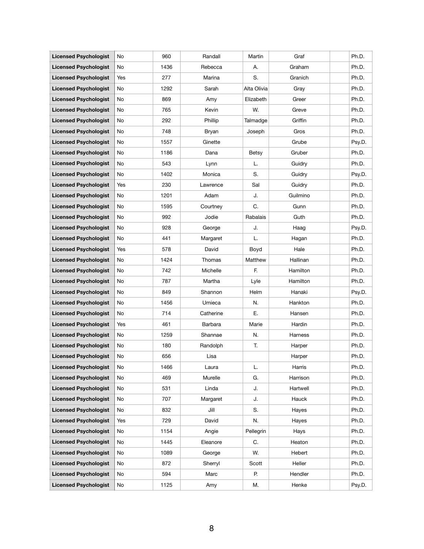| <b>Licensed Psychologist</b> | No  | 960  | Randall   | Martin      | Graf     | Ph.D.  |
|------------------------------|-----|------|-----------|-------------|----------|--------|
| <b>Licensed Psychologist</b> | No  | 1436 | Rebecca   | А.          | Graham   | Ph.D.  |
| <b>Licensed Psychologist</b> | Yes | 277  | Marina    | S.          | Granich  | Ph.D.  |
| <b>Licensed Psychologist</b> | No  | 1292 | Sarah     | Alta Olivia | Gray     | Ph.D.  |
| <b>Licensed Psychologist</b> | No  | 869  | Amy       | Elizabeth   | Greer    | Ph.D.  |
| <b>Licensed Psychologist</b> | No  | 765  | Kevin     | W.          | Greve    | Ph.D.  |
| <b>Licensed Psychologist</b> | No  | 292  | Phillip   | Talmadge    | Griffin  | Ph.D.  |
| <b>Licensed Psychologist</b> | No  | 748  | Bryan     | Joseph      | Gros     | Ph.D.  |
| <b>Licensed Psychologist</b> | No  | 1557 | Ginette   |             | Grube    | Psy.D. |
| <b>Licensed Psychologist</b> | No  | 1186 | Dana      | Betsy       | Gruber   | Ph.D.  |
| <b>Licensed Psychologist</b> | No  | 543  | Lynn      | L.          | Guidry   | Ph.D.  |
| <b>Licensed Psychologist</b> | No  | 1402 | Monica    | S.          | Guidry   | Psy.D. |
| <b>Licensed Psychologist</b> | Yes | 230  | Lawrence  | Sal         | Guidry   | Ph.D.  |
| <b>Licensed Psychologist</b> | No  | 1201 | Adam      | J.          | Guilmino | Ph.D.  |
| <b>Licensed Psychologist</b> | No  | 1595 | Courtney  | C.          | Gunn     | Ph.D.  |
| <b>Licensed Psychologist</b> | No  | 992  | Jodie     | Rabalais    | Guth     | Ph.D.  |
| <b>Licensed Psychologist</b> | No  | 928  | George    | J.          | Haag     | Psy.D. |
| <b>Licensed Psychologist</b> | No  | 441  | Margaret  | L.          | Hagan    | Ph.D.  |
| <b>Licensed Psychologist</b> | Yes | 578  | David     | Boyd        | Hale     | Ph.D.  |
| <b>Licensed Psychologist</b> | No  | 1424 | Thomas    | Matthew     | Hallinan | Ph.D.  |
| <b>Licensed Psychologist</b> | No  | 742  | Michelle  | F.          | Hamilton | Ph.D.  |
| <b>Licensed Psychologist</b> | No  | 787  | Martha    | Lyle        | Hamilton | Ph.D.  |
| <b>Licensed Psychologist</b> | No  | 849  | Shannon   | Helm        | Hanaki   | Psy.D. |
| <b>Licensed Psychologist</b> | No  | 1456 | Umieca    | N.          | Hankton  | Ph.D.  |
| <b>Licensed Psychologist</b> | No  | 714  | Catherine | Е.          | Hansen   | Ph.D.  |
| <b>Licensed Psychologist</b> | Yes | 461  | Barbara   | Marie       | Hardin   | Ph.D.  |
| <b>Licensed Psychologist</b> | No  | 1259 | Shannae   | N.          | Harness  | Ph.D.  |
| <b>Licensed Psychologist</b> | No  | 180  | Randolph  | Т.          | Harper   | Ph.D.  |
| <b>Licensed Psychologist</b> | No  | 656  | Lisa      |             | Harper   | Ph.D.  |
| <b>Licensed Psychologist</b> | No  | 1466 | Laura     | L.          | Harris   | Ph.D.  |
| <b>Licensed Psychologist</b> | No  | 469  | Murelle   | G.          | Harrison | Ph.D.  |
| <b>Licensed Psychologist</b> | No  | 531  | Linda     | J.          | Hartwell | Ph.D.  |
| <b>Licensed Psychologist</b> | No  | 707  | Margaret  | J.          | Hauck    | Ph.D.  |
| <b>Licensed Psychologist</b> | No  | 832  | Jill      | S.          | Hayes    | Ph.D.  |
| <b>Licensed Psychologist</b> | Yes | 729  | David     | N.          | Hayes    | Ph.D.  |
| <b>Licensed Psychologist</b> | No  | 1154 | Angie     | Pellegrin   | Hays     | Ph.D.  |
| <b>Licensed Psychologist</b> | No  | 1445 | Eleanore  | C.          | Heaton   | Ph.D.  |
| <b>Licensed Psychologist</b> | No  | 1089 | George    | W.          | Hebert   | Ph.D.  |
| <b>Licensed Psychologist</b> | No  | 872  | Sherryl   | Scott       | Heller   | Ph.D.  |
| <b>Licensed Psychologist</b> | No  | 594  | Marc      | P.          | Hendler  | Ph.D.  |
| <b>Licensed Psychologist</b> | No  | 1125 | Amy       | M.          | Henke    | Psy.D. |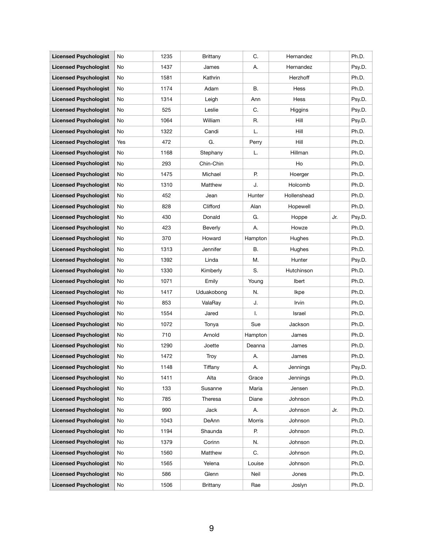| <b>Licensed Psychologist</b> | No  | 1235 | Brittany       | C.      | Hernandez   |     | Ph.D.  |
|------------------------------|-----|------|----------------|---------|-------------|-----|--------|
| <b>Licensed Psychologist</b> | No  | 1437 | James          | А.      | Hernandez   |     | Psy.D. |
| <b>Licensed Psychologist</b> | No  | 1581 | Kathrin        |         | Herzhoff    |     | Ph.D.  |
| <b>Licensed Psychologist</b> | No  | 1174 | Adam           | В.      | Hess        |     | Ph.D.  |
| <b>Licensed Psychologist</b> | No  | 1314 | Leigh          | Ann     | Hess        |     | Psy.D. |
| <b>Licensed Psychologist</b> | No  | 525  | Leslie         | C.      | Higgins     |     | Psy.D. |
| <b>Licensed Psychologist</b> | No  | 1064 | William        | R.      | Hill        |     | Psy.D. |
| <b>Licensed Psychologist</b> | No  | 1322 | Candi          | L.      | Hill        |     | Ph.D.  |
| <b>Licensed Psychologist</b> | Yes | 472  | G.             | Perry   | Hill        |     | Ph.D.  |
| <b>Licensed Psychologist</b> | No  | 1168 | Stephany       | L.      | Hillman     |     | Ph.D.  |
| <b>Licensed Psychologist</b> | No  | 293  | Chin-Chin      |         | Ho          |     | Ph.D.  |
| <b>Licensed Psychologist</b> | No  | 1475 | Michael        | Р.      | Hoerger     |     | Ph.D.  |
| <b>Licensed Psychologist</b> | No  | 1310 | Matthew        | J.      | Holcomb     |     | Ph.D.  |
| <b>Licensed Psychologist</b> | No  | 452  | Jean           | Hunter  | Hollenshead |     | Ph.D.  |
| <b>Licensed Psychologist</b> | No  | 828  | Clifford       | Alan    | Hopewell    |     | Ph.D.  |
| <b>Licensed Psychologist</b> | No  | 430  | Donald         | G.      | Hoppe       | Jr. | Psy.D. |
| <b>Licensed Psychologist</b> | No  | 423  | <b>Beverly</b> | А.      | Howze       |     | Ph.D.  |
| <b>Licensed Psychologist</b> | No  | 370  | Howard         | Hampton | Hughes      |     | Ph.D.  |
| <b>Licensed Psychologist</b> | No  | 1313 | Jennifer       | В.      | Hughes      |     | Ph.D.  |
| <b>Licensed Psychologist</b> | No  | 1392 | Linda          | М.      | Hunter      |     | Psy.D. |
| <b>Licensed Psychologist</b> | No  | 1330 | Kimberly       | S.      | Hutchinson  |     | Ph.D.  |
| <b>Licensed Psychologist</b> | No  | 1071 | Emily          | Young   | Ibert       |     | Ph.D.  |
| <b>Licensed Psychologist</b> | No  | 1417 | Uduakobong     | N.      | <b>Ikpe</b> |     | Ph.D.  |
| <b>Licensed Psychologist</b> | No  | 853  | ValaRay        | J.      | Irvin       |     | Ph.D.  |
| <b>Licensed Psychologist</b> | No  | 1554 | Jared          | I.      | Israel      |     | Ph.D.  |
| <b>Licensed Psychologist</b> | No  | 1072 | Tonya          | Sue     | Jackson     |     | Ph.D.  |
| <b>Licensed Psychologist</b> | No  | 710  | Arnold         | Hampton | James       |     | Ph.D.  |
| <b>Licensed Psychologist</b> | No  | 1290 | Joette         | Deanna  | James       |     | Ph.D.  |
| <b>Licensed Psychologist</b> | No  | 1472 | Troy           | Α.      | James       |     | Ph.D.  |
| <b>Licensed Psychologist</b> | No  | 1148 | Tiffany        | А.      | Jennings    |     | Psy.D. |
| <b>Licensed Psychologist</b> | No  | 1411 | Alta           | Grace   | Jennings    |     | Ph.D.  |
| <b>Licensed Psychologist</b> | No  | 133  | Susanne        | Maria   | Jensen      |     | Ph.D.  |
| <b>Licensed Psychologist</b> | No  | 785  | Theresa        | Diane   | Johnson     |     | Ph.D.  |
| <b>Licensed Psychologist</b> | No  | 990  | Jack           | А.      | Johnson     | Jr. | Ph.D.  |
| <b>Licensed Psychologist</b> | No  | 1043 | DeAnn          | Morris  | Johnson     |     | Ph.D.  |
| <b>Licensed Psychologist</b> | No  | 1194 | Shaunda        | P.      | Johnson     |     | Ph.D.  |
| <b>Licensed Psychologist</b> | No  | 1379 | Corinn         | N.      | Johnson     |     | Ph.D.  |
| <b>Licensed Psychologist</b> | No  | 1560 | Matthew        | C.      | Johnson     |     | Ph.D.  |
| <b>Licensed Psychologist</b> | No  | 1565 | Yelena         | Louise  | Johnson     |     | Ph.D.  |
| <b>Licensed Psychologist</b> | No  | 586  | Glenn          | Neil    | Jones       |     | Ph.D.  |
| <b>Licensed Psychologist</b> | No  | 1506 | Brittany       | Rae     | Joslyn      |     | Ph.D.  |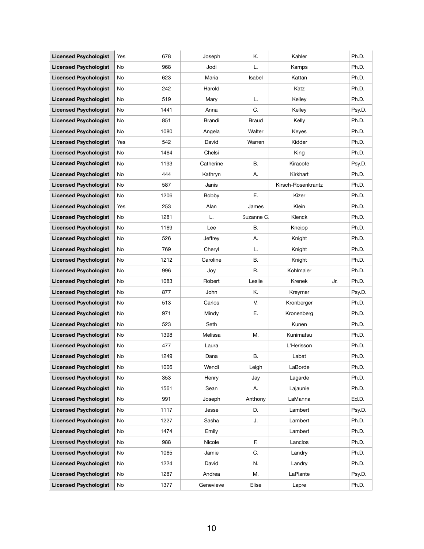| <b>Licensed Psychologist</b> | Yes | 678  | Joseph       | Κ.         | Kahler             |     | Ph.D.  |
|------------------------------|-----|------|--------------|------------|--------------------|-----|--------|
| <b>Licensed Psychologist</b> | No  | 968  | Jodi         | L.         | Kamps              |     | Ph.D.  |
| <b>Licensed Psychologist</b> | No  | 623  | Maria        | Isabel     | Kattan             |     | Ph.D.  |
| <b>Licensed Psychologist</b> | No  | 242  | Harold       |            | Katz               |     | Ph.D.  |
| <b>Licensed Psychologist</b> | No  | 519  | Mary         | L.         | Kelley             |     | Ph.D.  |
| <b>Licensed Psychologist</b> | No  | 1441 | Anna         | C.         | Kelley             |     | Psy.D. |
| <b>Licensed Psychologist</b> | No  | 851  | Brandi       | Braud      | Kelly              |     | Ph.D.  |
| <b>Licensed Psychologist</b> | No  | 1080 | Angela       | Walter     | Keyes              |     | Ph.D.  |
| <b>Licensed Psychologist</b> | Yes | 542  | David        | Warren     | Kidder             |     | Ph.D.  |
| <b>Licensed Psychologist</b> | No  | 1464 | Chelsi       |            | King               |     | Ph.D.  |
| <b>Licensed Psychologist</b> | No  | 1193 | Catherine    | В.         | Kiracofe           |     | Psy.D. |
| <b>Licensed Psychologist</b> | No  | 444  | Kathryn      | А.         | Kirkhart           |     | Ph.D.  |
| <b>Licensed Psychologist</b> | No  | 587  | Janis        |            | Kirsch-Rosenkrantz |     | Ph.D.  |
| <b>Licensed Psychologist</b> | No  | 1206 | <b>Bobby</b> | Ε.         | Kizer              |     | Ph.D.  |
| <b>Licensed Psychologist</b> | Yes | 253  | Alan         | James      | Klein              |     | Ph.D.  |
| <b>Licensed Psychologist</b> | No  | 1281 | L.           | Suzanne C. | Klenck             |     | Ph.D.  |
| <b>Licensed Psychologist</b> | No  | 1169 | Lee          | Β.         | Kneipp             |     | Ph.D.  |
| <b>Licensed Psychologist</b> | No  | 526  | Jeffrey      | А.         | Knight             |     | Ph.D.  |
| <b>Licensed Psychologist</b> | No  | 769  | Cheryl       | L.         | Knight             |     | Ph.D.  |
| <b>Licensed Psychologist</b> | No  | 1212 | Caroline     | В.         | Knight             |     | Ph.D.  |
| <b>Licensed Psychologist</b> | No  | 996  | Joy          | R.         | Kohlmaier          |     | Ph.D.  |
| <b>Licensed Psychologist</b> | No  | 1083 | Robert       | Leslie     | Krenek             | Jr. | Ph.D.  |
| <b>Licensed Psychologist</b> | No  | 877  | John         | Κ.         | Kreymer            |     | Psy.D. |
| <b>Licensed Psychologist</b> | No  | 513  | Carlos       | V.         | Kronberger         |     | Ph.D.  |
| <b>Licensed Psychologist</b> | No  | 971  | Mindy        | Е.         | Kronenberg         |     | Ph.D.  |
| <b>Licensed Psychologist</b> | No  | 523  | Seth         |            | Kunen              |     | Ph.D.  |
| <b>Licensed Psychologist</b> | No  | 1398 | Melissa      | М.         | Kunimatsu          |     | Ph.D.  |
| <b>Licensed Psychologist</b> | No  | 477  | Laura        |            | L'Herisson         |     | Ph.D.  |
| <b>Licensed Psychologist</b> | No  | 1249 | Dana         | В.         | Labat              |     | Ph.D.  |
| <b>Licensed Psychologist</b> | No  | 1006 | Wendi        | Leigh      | LaBorde            |     | Ph.D.  |
| <b>Licensed Psychologist</b> | No  | 353  | Henry        | Jay        | Lagarde            |     | Ph.D.  |
| <b>Licensed Psychologist</b> | No  | 1561 | Sean         | А.         | Lajaunie           |     | Ph.D.  |
| <b>Licensed Psychologist</b> | No  | 991  | Joseph       | Anthony    | LaManna            |     | Ed.D.  |
| <b>Licensed Psychologist</b> | No  | 1117 | Jesse        | D.         | Lambert            |     | Psy.D. |
| <b>Licensed Psychologist</b> | No  | 1227 | Sasha        | J.         | Lambert            |     | Ph.D.  |
| <b>Licensed Psychologist</b> | No  | 1474 | Emily        |            | Lambert            |     | Ph.D.  |
| <b>Licensed Psychologist</b> | No  | 988  | Nicole       | F.         | Lanclos            |     | Ph.D.  |
| <b>Licensed Psychologist</b> | No  | 1065 | Jamie        | C.         | Landry             |     | Ph.D.  |
| <b>Licensed Psychologist</b> | No  | 1224 | David        | N.         | Landry             |     | Ph.D.  |
| <b>Licensed Psychologist</b> | No  | 1287 | Andrea       | M.         | LaPlante           |     | Psy.D. |
| <b>Licensed Psychologist</b> | No  | 1377 | Genevieve    | Elise      | Lapre              |     | Ph.D.  |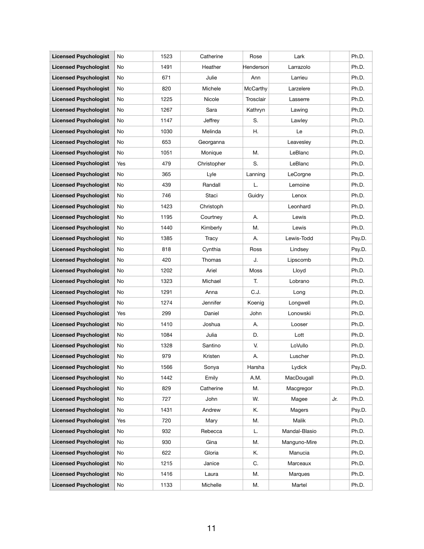| <b>Licensed Psychologist</b> | No  | 1523 | Catherine   | Rose      | Lark          |     | Ph.D.  |
|------------------------------|-----|------|-------------|-----------|---------------|-----|--------|
| <b>Licensed Psychologist</b> | No  | 1491 | Heather     | Henderson | Larrazolo     |     | Ph.D.  |
| <b>Licensed Psychologist</b> | No  | 671  | Julie       | Ann       | Larrieu       |     | Ph.D.  |
| <b>Licensed Psychologist</b> | No  | 820  | Michele     | McCarthy  | Larzelere     |     | Ph.D.  |
| <b>Licensed Psychologist</b> | No  | 1225 | Nicole      | Trosclair | Lasserre      |     | Ph.D.  |
| <b>Licensed Psychologist</b> | No  | 1267 | Sara        | Kathryn   | Lawing        |     | Ph.D.  |
| <b>Licensed Psychologist</b> | No  | 1147 | Jeffrey     | S.        | Lawley        |     | Ph.D.  |
| <b>Licensed Psychologist</b> | No  | 1030 | Melinda     | Η.        | Le            |     | Ph.D.  |
| <b>Licensed Psychologist</b> | No  | 653  | Georganna   |           | Leavesley     |     | Ph.D.  |
| <b>Licensed Psychologist</b> | No  | 1051 | Monique     | М.        | LeBlanc       |     | Ph.D.  |
| <b>Licensed Psychologist</b> | Yes | 479  | Christopher | S.        | LeBlanc       |     | Ph.D.  |
| <b>Licensed Psychologist</b> | No  | 365  | Lyle        | Lanning   | LeCorgne      |     | Ph.D.  |
| <b>Licensed Psychologist</b> | No  | 439  | Randall     | L.        | Lemoine       |     | Ph.D.  |
| <b>Licensed Psychologist</b> | No  | 746  | Staci       | Guidry    | Lenox         |     | Ph.D.  |
| <b>Licensed Psychologist</b> | No  | 1423 | Christoph   |           | Leonhard      |     | Ph.D.  |
| <b>Licensed Psychologist</b> | No  | 1195 | Courtney    | Α.        | Lewis         |     | Ph.D.  |
| <b>Licensed Psychologist</b> | No  | 1440 | Kimberly    | М.        | Lewis         |     | Ph.D.  |
| <b>Licensed Psychologist</b> | No  | 1385 | Tracy       | А.        | Lewis-Todd    |     | Psy.D. |
| <b>Licensed Psychologist</b> | No  | 818  | Cynthia     | Ross      | Lindsey       |     | Psy.D. |
| <b>Licensed Psychologist</b> | No  | 420  | Thomas      | J.        | Lipscomb      |     | Ph.D.  |
| <b>Licensed Psychologist</b> | No  | 1202 | Ariel       | Moss      | Lloyd         |     | Ph.D.  |
| <b>Licensed Psychologist</b> | No  | 1323 | Michael     | T.        | Lobrano       |     | Ph.D.  |
| <b>Licensed Psychologist</b> | No  | 1291 | Anna        | C.J.      | Long          |     | Ph.D.  |
| <b>Licensed Psychologist</b> | No  | 1274 | Jennifer    | Koenig    | Longwell      |     | Ph.D.  |
| <b>Licensed Psychologist</b> | Yes | 299  | Daniel      | John      | Lonowski      |     | Ph.D.  |
| <b>Licensed Psychologist</b> | No  | 1410 | Joshua      | Α.        | Looser        |     | Ph.D.  |
| <b>Licensed Psychologist</b> | No  | 1084 | Julia       | D.        | Lott          |     | Ph.D.  |
| <b>Licensed Psychologist</b> | No  | 1328 | Santino     | V.        | LoVullo       |     | Ph.D.  |
| <b>Licensed Psychologist</b> | No  | 979  | Kristen     | А.        | Luscher       |     | Ph.D.  |
| <b>Licensed Psychologist</b> | No  | 1566 | Sonya       | Harsha    | Lydick        |     | Psy.D. |
| <b>Licensed Psychologist</b> | No  | 1442 | Emily       | A.M.      | MacDougall    |     | Ph.D.  |
| <b>Licensed Psychologist</b> | No  | 829  | Catherine   | М.        | Macgregor     |     | Ph.D.  |
| <b>Licensed Psychologist</b> | No  | 727  | John        | W.        | Magee         | Jr. | Ph.D.  |
| <b>Licensed Psychologist</b> | No  | 1431 | Andrew      | Κ.        | Magers        |     | Psy.D. |
| <b>Licensed Psychologist</b> | Yes | 720  | Mary        | M.        | Malik         |     | Ph.D.  |
| <b>Licensed Psychologist</b> | No  | 932  | Rebecca     | L.        | Mandal-Blasio |     | Ph.D.  |
| <b>Licensed Psychologist</b> | No  | 930  | Gina        | М.        | Manguno-Mire  |     | Ph.D.  |
| <b>Licensed Psychologist</b> | No  | 622  | Gloria      | Κ.        | Manucia       |     | Ph.D.  |
| <b>Licensed Psychologist</b> | No  | 1215 | Janice      | C.        | Marceaux      |     | Ph.D.  |
| <b>Licensed Psychologist</b> | No  | 1416 | Laura       | M.        | Marques       |     | Ph.D.  |
| <b>Licensed Psychologist</b> | No  | 1133 | Michelle    | М.        | Martel        |     | Ph.D.  |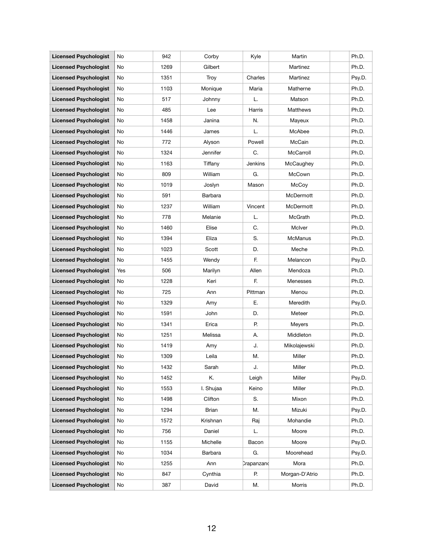| <b>Licensed Psychologist</b> | No  | 942  | Corby     | Kyle       | Martin         | Ph.D.  |
|------------------------------|-----|------|-----------|------------|----------------|--------|
| <b>Licensed Psychologist</b> | No  | 1269 | Gilbert   |            | Martinez       | Ph.D.  |
| <b>Licensed Psychologist</b> | No  | 1351 | Troy      | Charles    | Martinez       | Psy.D. |
| <b>Licensed Psychologist</b> | No  | 1103 | Monique   | Maria      | Matherne       | Ph.D.  |
| <b>Licensed Psychologist</b> | No  | 517  | Johnny    | L.         | Matson         | Ph.D.  |
| <b>Licensed Psychologist</b> | No  | 485  | Lee       | Harris     | Matthews       | Ph.D.  |
| <b>Licensed Psychologist</b> | No  | 1458 | Janina    | N.         | Mayeux         | Ph.D.  |
| <b>Licensed Psychologist</b> | No  | 1446 | James     | L.         | McAbee         | Ph.D.  |
| <b>Licensed Psychologist</b> | No  | 772  | Alyson    | Powell     | McCain         | Ph.D.  |
| <b>Licensed Psychologist</b> | No  | 1324 | Jennifer  | C.         | McCarroll      | Ph.D.  |
| <b>Licensed Psychologist</b> | No  | 1163 | Tiffany   | Jenkins    | McCaughey      | Ph.D.  |
| <b>Licensed Psychologist</b> | No  | 809  | William   | G.         | McCown         | Ph.D.  |
| <b>Licensed Psychologist</b> | No  | 1019 | Joslyn    | Mason      | McCoy          | Ph.D.  |
| <b>Licensed Psychologist</b> | No  | 591  | Barbara   |            | McDermott      | Ph.D.  |
| <b>Licensed Psychologist</b> | No  | 1237 | William   | Vincent    | McDermott      | Ph.D.  |
| <b>Licensed Psychologist</b> | No  | 778  | Melanie   | L.         | McGrath        | Ph.D.  |
| <b>Licensed Psychologist</b> | No  | 1460 | Elise     | C.         | McIver         | Ph.D.  |
| <b>Licensed Psychologist</b> | No  | 1394 | Eliza     | S.         | McManus        | Ph.D.  |
| <b>Licensed Psychologist</b> | No  | 1023 | Scott     | D.         | Meche          | Ph.D.  |
| <b>Licensed Psychologist</b> | No  | 1455 | Wendy     | F.         | Melancon       | Psy.D. |
| <b>Licensed Psychologist</b> | Yes | 506  | Marilyn   | Allen      | Mendoza        | Ph.D.  |
| <b>Licensed Psychologist</b> | No  | 1228 | Keri      | F.         | Menesses       | Ph.D.  |
| <b>Licensed Psychologist</b> | No  | 725  | Ann       | Pittman    | Menou          | Ph.D.  |
| <b>Licensed Psychologist</b> | No  | 1329 | Amy       | Е.         | Meredith       | Psy.D. |
| <b>Licensed Psychologist</b> | No  | 1591 | John      | D.         | Meteer         | Ph.D.  |
| <b>Licensed Psychologist</b> | No  | 1341 | Erica     | Р.         | Meyers         | Ph.D.  |
| <b>Licensed Psychologist</b> | No  | 1251 | Melissa   | Α.         | Middleton      | Ph.D.  |
| <b>Licensed Psychologist</b> | No  | 1419 | Amy       | J.         | Mikolajewski   | Ph.D.  |
| <b>Licensed Psychologist</b> | No  | 1309 | Leila     | М.         | Miller         | Ph.D.  |
| <b>Licensed Psychologist</b> | No  | 1432 | Sarah     | J.         | Miller         | Ph.D.  |
| <b>Licensed Psychologist</b> | No  | 1452 | Κ.        | Leigh      | Miller         | Psy.D. |
| <b>Licensed Psychologist</b> | No  | 1553 | I. Shujaa | Keino      | Miller         | Ph.D.  |
| <b>Licensed Psychologist</b> | No  | 1498 | Clifton   | S.         | Mixon          | Ph.D.  |
| <b>Licensed Psychologist</b> | No  | 1294 | Brian     | Μ.         | Mizuki         | Psy.D. |
| <b>Licensed Psychologist</b> | No  | 1572 | Krishnan  | Raj        | Mohandie       | Ph.D.  |
| <b>Licensed Psychologist</b> | No  | 756  | Daniel    | L.         | Moore          | Ph.D.  |
| <b>Licensed Psychologist</b> | No  | 1155 | Michelle  | Bacon      | Moore          | Psy.D. |
| <b>Licensed Psychologist</b> | No  | 1034 | Barbara   | G.         | Moorehead      | Psy.D. |
| <b>Licensed Psychologist</b> | No  | 1255 | Ann       | Crapanzand | Mora           | Ph.D.  |
| <b>Licensed Psychologist</b> | No  | 847  | Cynthia   | Р.         | Morgan-D'Atrio | Ph.D.  |
| <b>Licensed Psychologist</b> | No  | 387  | David     | M.         | Morris         | Ph.D.  |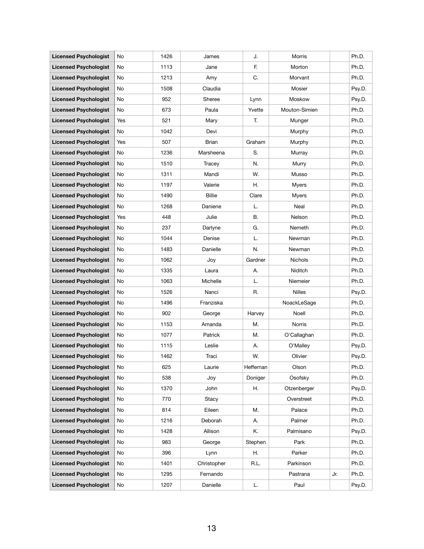| <b>Licensed Psychologist</b> | No  | 1426 | James         | J.        | Morris        |     | Ph.D.  |
|------------------------------|-----|------|---------------|-----------|---------------|-----|--------|
| <b>Licensed Psychologist</b> | No  | 1113 | Jane          | F.        | Morton        |     | Ph.D.  |
| <b>Licensed Psychologist</b> | No  | 1213 | Amy           | C.        | Morvant       |     | Ph.D.  |
| <b>Licensed Psychologist</b> | No  | 1508 | Claudia       |           | Mosier        |     | Psy.D. |
| <b>Licensed Psychologist</b> | No  | 952  | Sheree        | Lynn      | Moskow        |     | Psy.D. |
| <b>Licensed Psychologist</b> | No  | 673  | Paula         | Yvette    | Mouton-Simien |     | Ph.D.  |
| <b>Licensed Psychologist</b> | Yes | 521  | Mary          | T.        | Munger        |     | Ph.D.  |
| <b>Licensed Psychologist</b> | No  | 1042 | Devi          |           | Murphy        |     | Ph.D.  |
| <b>Licensed Psychologist</b> | Yes | 507  | Brian         | Graham    | Murphy        |     | Ph.D.  |
| <b>Licensed Psychologist</b> | No  | 1236 | Marsheena     | S.        | Murray        |     | Ph.D.  |
| <b>Licensed Psychologist</b> | No  | 1510 | Tracey        | N.        | Murry         |     | Ph.D.  |
| <b>Licensed Psychologist</b> | No  | 1311 | Mandi         | W.        | Musso         |     | Ph.D.  |
| <b>Licensed Psychologist</b> | No  | 1197 | Valerie       | Η.        | <b>Myers</b>  |     | Ph.D.  |
| <b>Licensed Psychologist</b> | No  | 1490 | <b>Billie</b> | Clare     | <b>Myers</b>  |     | Ph.D.  |
| <b>Licensed Psychologist</b> | No  | 1268 | Daniene       | L.        | Neal          |     | Ph.D.  |
| <b>Licensed Psychologist</b> | Yes | 448  | Julie         | В.        | Nelson        |     | Ph.D.  |
| <b>Licensed Psychologist</b> | No  | 237  | Darlyne       | G.        | Nemeth        |     | Ph.D.  |
| <b>Licensed Psychologist</b> | No  | 1044 | Denise        | L.        | Newman        |     | Ph.D.  |
| <b>Licensed Psychologist</b> | No  | 1483 | Danielle      | N.        | Newman        |     | Ph.D.  |
| <b>Licensed Psychologist</b> | No  | 1062 | Joy           | Gardner   | Nichols       |     | Ph.D.  |
| <b>Licensed Psychologist</b> | No  | 1335 | Laura         | А.        | Niditch       |     | Ph.D.  |
| <b>Licensed Psychologist</b> | No  | 1063 | Michelle      | L.        | Niemeier      |     | Ph.D.  |
| <b>Licensed Psychologist</b> | No  | 1526 | Nanci         | R.        | <b>Nilles</b> |     | Psy.D. |
| <b>Licensed Psychologist</b> | No  | 1496 | Franziska     |           | NoackLeSage   |     | Ph.D.  |
| <b>Licensed Psychologist</b> | No  | 902  | George        | Harvey    | Noell         |     | Ph.D.  |
| <b>Licensed Psychologist</b> | No  | 1153 | Amanda        | М.        | Norris        |     | Ph.D.  |
| <b>Licensed Psychologist</b> | No  | 1077 | Patrick       | М.        | O'Callaghan   |     | Ph.D.  |
| <b>Licensed Psychologist</b> | No  | 1115 | Leslie        | А.        | O'Malley      |     | Psy.D. |
| <b>Licensed Psychologist</b> | No  | 1462 | Traci         | W.        | Olivier       |     | Psy.D. |
| <b>Licensed Psychologist</b> | No  | 625  | Laurie        | Heffernan | Olson         |     | Ph.D.  |
| <b>Licensed Psychologist</b> | No  | 538  | Joy           | Doniger   | Osofsky       |     | Ph.D.  |
| <b>Licensed Psychologist</b> | No  | 1370 | John          | Η.        | Otzenberger   |     | Psy.D. |
| <b>Licensed Psychologist</b> | No  | 770  | Stacy         |           | Overstreet    |     | Ph.D.  |
| <b>Licensed Psychologist</b> | No  | 814  | Eileen        | М.        | Palace        |     | Ph.D.  |
| <b>Licensed Psychologist</b> | No  | 1216 | Deborah       | А.        | Palmer        |     | Ph.D.  |
| <b>Licensed Psychologist</b> | No  | 1428 | Allison       | Κ.        | Palmisano     |     | Psy.D. |
| <b>Licensed Psychologist</b> | No  | 983  | George        | Stephen   | Park          |     | Ph.D.  |
| <b>Licensed Psychologist</b> | No  | 396  | Lynn          | Η.        | Parker        |     | Ph.D.  |
| <b>Licensed Psychologist</b> | No  | 1401 | Christopher   | R.L.      | Parkinson     |     | Ph.D.  |
| <b>Licensed Psychologist</b> | No  | 1295 | Fernando      |           | Pastrana      | Jr. | Ph.D.  |
| <b>Licensed Psychologist</b> | No  | 1207 | Danielle      | L.        | Paul          |     | Psy.D. |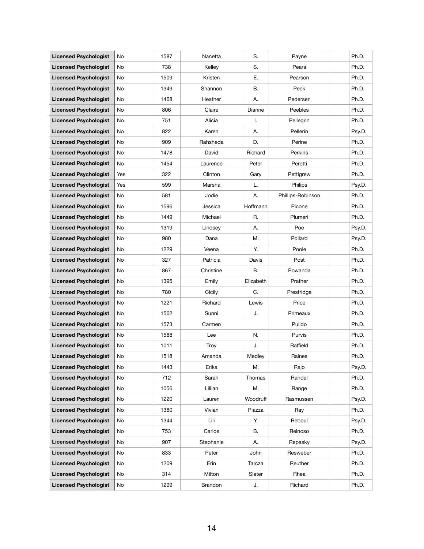| <b>Licensed Psychologist</b> | No  | 1587 | Nanetta        | S.        | Payne             | Ph.D.  |
|------------------------------|-----|------|----------------|-----------|-------------------|--------|
| <b>Licensed Psychologist</b> | No  | 738  | Kelley         | S.        | Pears             | Ph.D.  |
| <b>Licensed Psychologist</b> | No  | 1509 | Kristen        | Ε.        | Pearson           | Ph.D.  |
| <b>Licensed Psychologist</b> | No  | 1349 | Shannon        | В.        | Peck              | Ph.D.  |
| <b>Licensed Psychologist</b> | No  | 1468 | Heather        | А.        | Pedersen          | Ph.D.  |
| <b>Licensed Psychologist</b> | No  | 806  | Claire         | Dianne    | Peebles           | Ph.D.  |
| <b>Licensed Psychologist</b> | No  | 751  | Alicia         | I.        | Pellegrin         | Ph.D.  |
| <b>Licensed Psychologist</b> | No  | 822  | Karen          | А.        | Pellerin          | Psy.D. |
| <b>Licensed Psychologist</b> | No  | 909  | Rahsheda       | D.        | Perine            | Ph.D.  |
| <b>Licensed Psychologist</b> | No  | 1478 | David          | Richard   | Perkins           | Ph.D.  |
| <b>Licensed Psychologist</b> | No  | 1454 | Laurence       | Peter     | Perotti           | Ph.D.  |
| <b>Licensed Psychologist</b> | Yes | 322  | Clinton        | Gary      | Pettigrew         | Ph.D.  |
| <b>Licensed Psychologist</b> | Yes | 599  | Marsha         | L.        | Philips           | Psy.D. |
| <b>Licensed Psychologist</b> | No  | 581  | Jodie          | А.        | Phillips-Robinson | Ph.D.  |
| <b>Licensed Psychologist</b> | No  | 1596 | Jessica        | Hoffmann  | Picone            | Ph.D.  |
| <b>Licensed Psychologist</b> | No  | 1449 | Michael        | R.        | Plumeri           | Ph.D.  |
| <b>Licensed Psychologist</b> | No  | 1319 | Lindsey        | А.        | Poe               | Psy.D. |
| <b>Licensed Psychologist</b> | No  | 980  | Dana           | М.        | Pollard           | Psy.D. |
| <b>Licensed Psychologist</b> | No  | 1229 | Veena          | Y.        | Poole             | Ph.D.  |
| <b>Licensed Psychologist</b> | No  | 327  | Patricia       | Davis     | Post              | Ph.D.  |
| <b>Licensed Psychologist</b> | No  | 867  | Christine      | <b>B.</b> | Powanda           | Ph.D.  |
| <b>Licensed Psychologist</b> | No  | 1395 | Emily          | Elizabeth | Prather           | Ph.D.  |
| <b>Licensed Psychologist</b> | No  | 780  | Cicily         | C.        | Prestridge        | Ph.D.  |
| <b>Licensed Psychologist</b> | No  | 1221 | Richard        | Lewis     | Price             | Ph.D.  |
| <b>Licensed Psychologist</b> | No  | 1562 | Sunni          | J.        | Primeaux          | Ph.D.  |
| <b>Licensed Psychologist</b> | No  | 1573 | Carmen         |           | Pulido            | Ph.D.  |
| <b>Licensed Psychologist</b> | No  | 1588 | Lee            | N.        | Purvis            | Ph.D.  |
| <b>Licensed Psychologist</b> | No  | 1011 | Troy           | J.        | Raffield          | Ph.D.  |
| <b>Licensed Psychologist</b> | No  | 1518 | Amanda         | Medley    | Raines            | Ph.D.  |
| <b>Licensed Psychologist</b> | No  | 1443 | Erika          | M.        | Rajo              | Psy.D. |
| <b>Licensed Psychologist</b> | No  | 712  | Sarah          | Thomas    | Randel            | Ph.D.  |
| <b>Licensed Psychologist</b> | No  | 1056 | Lillian        | M.        | Range             | Ph.D.  |
| <b>Licensed Psychologist</b> | No  | 1220 | Lauren         | Woodruff  | Rasmussen         | Psy.D. |
| <b>Licensed Psychologist</b> | No  | 1380 | Vivian         | Piazza    | Ray               | Ph.D.  |
| <b>Licensed Psychologist</b> | No  | 1344 | Lili           | Y.        | Reboul            | Psy.D. |
| <b>Licensed Psychologist</b> | No  | 753  | Carlos         | В.        | Reinoso           | Ph.D.  |
| <b>Licensed Psychologist</b> | No  | 907  | Stephanie      | А.        | Repasky           | Psy.D. |
| <b>Licensed Psychologist</b> | No  | 833  | Peter          | John      | Resweber          | Ph.D.  |
| <b>Licensed Psychologist</b> | No  | 1209 | Erin           | Tarcza    | Reuther           | Ph.D.  |
| <b>Licensed Psychologist</b> | No  | 314  | Milton         | Slater    | Rhea              | Ph.D.  |
| <b>Licensed Psychologist</b> | No  | 1299 | <b>Brandon</b> | J.        | Richard           | Ph.D.  |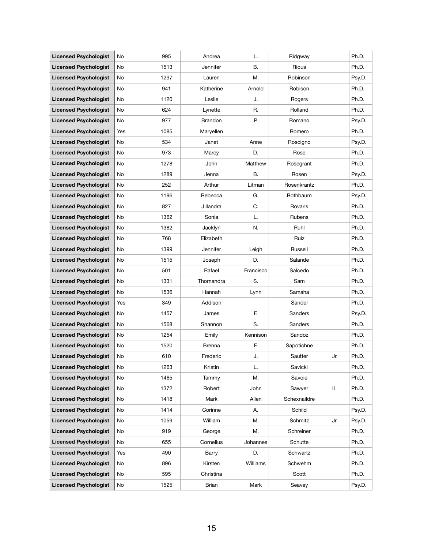| <b>Licensed Psychologist</b> | No  | 995  | Andrea    | L.        | Ridgway      |     | Ph.D.  |
|------------------------------|-----|------|-----------|-----------|--------------|-----|--------|
| <b>Licensed Psychologist</b> | No  | 1513 | Jennifer  | В.        | Rious        |     | Ph.D.  |
| <b>Licensed Psychologist</b> | No  | 1297 | Lauren    | М.        | Robinson     |     | Psy.D. |
| <b>Licensed Psychologist</b> | No  | 941  | Katherine | Arnold    | Robison      |     | Ph.D.  |
| <b>Licensed Psychologist</b> | No  | 1120 | Leslie    | J.        | Rogers       |     | Ph.D.  |
| <b>Licensed Psychologist</b> | No  | 624  | Lynette   | R.        | Rolland      |     | Ph.D.  |
| <b>Licensed Psychologist</b> | No  | 977  | Brandon   | Р.        | Romano       |     | Psy.D. |
| <b>Licensed Psychologist</b> | Yes | 1085 | Maryellen |           | Romero       |     | Ph.D.  |
| <b>Licensed Psychologist</b> | No  | 534  | Janet     | Anne      | Roscigno     |     | Psy.D. |
| <b>Licensed Psychologist</b> | No  | 973  | Marcy     | D.        | Rose         |     | Ph.D.  |
| <b>Licensed Psychologist</b> | No  | 1278 | John      | Matthew   | Rosegrant    |     | Ph.D.  |
| <b>Licensed Psychologist</b> | No  | 1289 | Jenna     | В.        | Rosen        |     | Psy.D. |
| <b>Licensed Psychologist</b> | No  | 252  | Arthur    | Litman    | Rosenkrantz  |     | Ph.D.  |
| <b>Licensed Psychologist</b> | No  | 1196 | Rebecca   | G.        | Rothbaum     |     | Psy.D. |
| <b>Licensed Psychologist</b> | No  | 827  | Jillandra | C.        | Rovaris      |     | Ph.D.  |
| <b>Licensed Psychologist</b> | No  | 1362 | Sonia     | L.        | Rubens       |     | Ph.D.  |
| <b>Licensed Psychologist</b> | No  | 1382 | Jacklyn   | N.        | Ruhl         |     | Ph.D.  |
| <b>Licensed Psychologist</b> | No  | 768  | Elizabeth |           | Ruiz         |     | Ph.D.  |
| <b>Licensed Psychologist</b> | No  | 1399 | Jennifer  | Leigh     | Russell      |     | Ph.D.  |
| <b>Licensed Psychologist</b> | No  | 1515 | Joseph    | D.        | Salande      |     | Ph.D.  |
| <b>Licensed Psychologist</b> | No  | 501  | Rafael    | Francisco | Salcedo      |     | Ph.D.  |
| <b>Licensed Psychologist</b> | No  | 1331 | Thomandra | S.        | Sam          |     | Ph.D.  |
| <b>Licensed Psychologist</b> | No  | 1536 | Hannah    | Lynn      | Samaha       |     | Ph.D.  |
| <b>Licensed Psychologist</b> | Yes | 349  | Addison   |           | Sandel       |     | Ph.D.  |
| <b>Licensed Psychologist</b> | No  | 1457 | James     | F.        | Sanders      |     | Psy.D. |
| <b>Licensed Psychologist</b> | No  | 1568 | Shannon   | S.        | Sanders      |     | Ph.D.  |
| <b>Licensed Psychologist</b> | No  | 1254 | Emily     | Kennison  | Sandoz       |     | Ph.D.  |
| <b>Licensed Psychologist</b> | No  | 1520 | Brenna    | F.        | Sapotichne   |     | Ph.D.  |
| <b>Licensed Psychologist</b> | No  | 610  | Frederic  | J.        | Sautter      | Jr. | Ph.D.  |
| <b>Licensed Psychologist</b> | No  | 1263 | Kristin   | L.        | Savicki      |     | Ph.D.  |
| <b>Licensed Psychologist</b> | No  | 1465 | Tammy     | М.        | Savoie       |     | Ph.D.  |
| <b>Licensed Psychologist</b> | No  | 1372 | Robert    | John      | Sawyer       | Ш   | Ph.D.  |
| <b>Licensed Psychologist</b> | No  | 1418 | Mark      | Allen     | Schexnaildre |     | Ph.D.  |
| <b>Licensed Psychologist</b> | No  | 1414 | Corinne   | А.        | Schild       |     | Psy.D. |
| <b>Licensed Psychologist</b> | No  | 1059 | William   | М.        | Schmitz      | Jr. | Psy.D. |
| <b>Licensed Psychologist</b> | No  | 919  | George    | M.        | Schreiner    |     | Ph.D.  |
| <b>Licensed Psychologist</b> | No  | 655  | Cornelius | Johannes  | Schutte      |     | Ph.D.  |
| <b>Licensed Psychologist</b> | Yes | 490  | Barry     | D.        | Schwartz     |     | Ph.D.  |
| <b>Licensed Psychologist</b> | No  | 896  | Kirsten   | Williams  | Schwehm      |     | Ph.D.  |
| <b>Licensed Psychologist</b> | No  | 595  | Christina |           | Scott        |     | Ph.D.  |
| <b>Licensed Psychologist</b> | No  | 1525 | Brian     | Mark      | Seavey       |     | Psy.D. |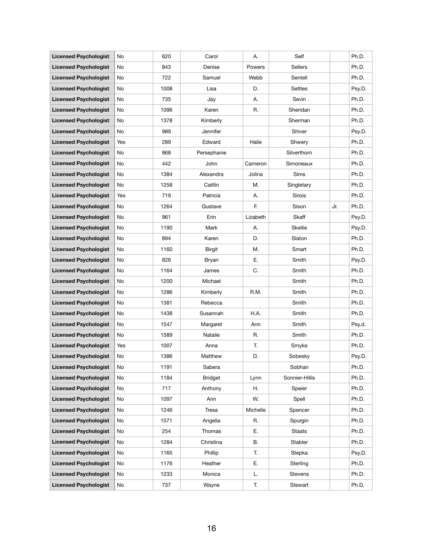| <b>Licensed Psychologist</b> | No  | 620  | Carol          | А.       | Self           |     | Ph.D.  |
|------------------------------|-----|------|----------------|----------|----------------|-----|--------|
| <b>Licensed Psychologist</b> | No  | 843  | Denise         | Powers   | <b>Sellers</b> |     | Ph.D.  |
| <b>Licensed Psychologist</b> | No  | 722  | Samuel         | Webb     | Sentell        |     | Ph.D.  |
| <b>Licensed Psychologist</b> | No  | 1008 | Lisa           | D.       | Settles        |     | Psy.D. |
| <b>Licensed Psychologist</b> | No  | 735  | Jay            | А.       | Sevin          |     | Ph.D.  |
| <b>Licensed Psychologist</b> | No  | 1096 | Karen          | R.       | Sheridan       |     | Ph.D.  |
| <b>Licensed Psychologist</b> | No  | 1378 | Kimberly       |          | Sherman        |     | Ph.D.  |
| <b>Licensed Psychologist</b> | No  | 989  | Jennifer       |          | Shiver         |     | Psy.D. |
| <b>Licensed Psychologist</b> | Yes | 289  | Edward         | Halie    | Shwery         |     | Ph.D.  |
| <b>Licensed Psychologist</b> | No  | 868  | Persephanie    |          | Silverthorn    |     | Ph.D.  |
| <b>Licensed Psychologist</b> | No  | 442  | John           | Cameron  | Simoneaux      |     | Ph.D.  |
| <b>Licensed Psychologist</b> | No  | 1384 | Alexandra      | Jolina   | Sims           |     | Ph.D.  |
| <b>Licensed Psychologist</b> | No  | 1258 | Caitlin        | М.       | Singletary     |     | Ph.D.  |
| <b>Licensed Psychologist</b> | Yes | 719  | Patricia       | А.       | Sirois         |     | Ph.D.  |
| <b>Licensed Psychologist</b> | No  | 1264 | Gustave        | F.       | Sison          | Jr. | Ph.D.  |
| <b>Licensed Psychologist</b> | No  | 961  | Erin           | Lizabeth | Skaff          |     | Psy.D. |
| <b>Licensed Psychologist</b> | No  | 1190 | Mark           | А.       | Skellie        |     | Psy.D. |
| <b>Licensed Psychologist</b> | No  | 894  | Karen          | D.       | Slaton         |     | Ph.D.  |
| <b>Licensed Psychologist</b> | No  | 1160 | <b>Birgit</b>  | М.       | Smart          |     | Ph.D.  |
| <b>Licensed Psychologist</b> | No  | 826  | Bryan          | Е.       | Smith          |     | Psy.D. |
| <b>Licensed Psychologist</b> | No  | 1164 | James          | C.       | Smith          |     | Ph.D.  |
| <b>Licensed Psychologist</b> | No  | 1200 | Michael        |          | Smith          |     | Ph.D.  |
| <b>Licensed Psychologist</b> | No  | 1286 | Kimberly       | R.M.     | Smith          |     | Ph.D.  |
| <b>Licensed Psychologist</b> | No  | 1381 | Rebecca        |          | Smith          |     | Ph.D.  |
| <b>Licensed Psychologist</b> | No  | 1438 | Susannah       | H.A.     | Smith          |     | Ph.D.  |
| <b>Licensed Psychologist</b> | No  | 1547 | Margaret       | Ann      | Smith          |     | Psy.d. |
| <b>Licensed Psychologist</b> | No  | 1589 | Natalie        | R.       | Smith          |     | Ph.D.  |
| <b>Licensed Psychologist</b> | Yes | 1007 | Anna           | Т.       | Smyke          |     | Ph.D.  |
| <b>Licensed Psychologist</b> | No  | 1386 | Matthew        | D.       | Sobesky        |     | Psy.D. |
| <b>Licensed Psychologist</b> | No  | 1191 | Sabera         |          | Sobhan         |     | Ph.D.  |
| <b>Licensed Psychologist</b> | No  | 1184 | <b>Bridget</b> | Lynn     | Sonnier-Hillis |     | Ph.D.  |
| <b>Licensed Psychologist</b> | No  | 717  | Anthony        | Н.       | Speier         |     | Ph.D.  |
| <b>Licensed Psychologist</b> | No  | 1097 | Ann            | W.       | Spell          |     | Ph.D.  |
| <b>Licensed Psychologist</b> | No  | 1246 | Tresa          | Michelle | Spencer        |     | Ph.D.  |
| <b>Licensed Psychologist</b> | No  | 1571 | Angelia        | R.       | Spurgin        |     | Ph.D.  |
| <b>Licensed Psychologist</b> | No  | 254  | Thomas         | Е.       | <b>Staats</b>  |     | Ph.D.  |
| <b>Licensed Psychologist</b> | No  | 1284 | Christina      | В.       | Stabler        |     | Ph.D.  |
| <b>Licensed Psychologist</b> | No  | 1165 | Phillip        | T.       | Stepka         |     | Psy.D. |
| <b>Licensed Psychologist</b> | No  | 1176 | Heather        | Ε.       | Sterling       |     | Ph.D.  |
| <b>Licensed Psychologist</b> | No  | 1233 | Monica         | L.       | <b>Stevens</b> |     | Ph.D.  |
| <b>Licensed Psychologist</b> | No  | 737  | Wayne          | T.       | Stewart        |     | Ph.D.  |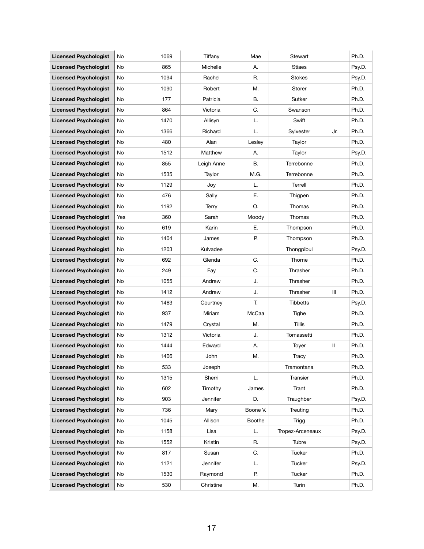| <b>Licensed Psychologist</b> | No  | 1069 | Tiffany    | Mae           | Stewart          |              | Ph.D.  |
|------------------------------|-----|------|------------|---------------|------------------|--------------|--------|
| <b>Licensed Psychologist</b> | No  | 865  | Michelle   | А.            | <b>Stiaes</b>    |              | Psy.D. |
| <b>Licensed Psychologist</b> | No  | 1094 | Rachel     | R.            | <b>Stokes</b>    |              | Psy.D. |
| <b>Licensed Psychologist</b> | No  | 1090 | Robert     | М.            | Storer           |              | Ph.D.  |
| <b>Licensed Psychologist</b> | No  | 177  | Patricia   | В.            | Sutker           |              | Ph.D.  |
| <b>Licensed Psychologist</b> | No  | 864  | Victoria   | C.            | Swanson          |              | Ph.D.  |
| <b>Licensed Psychologist</b> | No  | 1470 | Allisyn    | L.            | Swift            |              | Ph.D.  |
| <b>Licensed Psychologist</b> | No  | 1366 | Richard    | L.            | Sylvester        | Jr.          | Ph.D.  |
| <b>Licensed Psychologist</b> | No  | 480  | Alan       | Lesley        | Taylor           |              | Ph.D.  |
| <b>Licensed Psychologist</b> | No  | 1512 | Matthew    | А.            | Taylor           |              | Psy.D. |
| <b>Licensed Psychologist</b> | No  | 855  | Leigh Anne | В.            | Terrebonne       |              | Ph.D.  |
| <b>Licensed Psychologist</b> | No  | 1535 | Taylor     | M.G.          | Terrebonne       |              | Ph.D.  |
| <b>Licensed Psychologist</b> | No  | 1129 | Joy        | L.            | Terrell          |              | Ph.D.  |
| <b>Licensed Psychologist</b> | No  | 476  | Sally      | Е.            | Thigpen          |              | Ph.D.  |
| <b>Licensed Psychologist</b> | No  | 1192 | Terry      | О.            | Thomas           |              | Ph.D.  |
| <b>Licensed Psychologist</b> | Yes | 360  | Sarah      | Moody         | Thomas           |              | Ph.D.  |
| <b>Licensed Psychologist</b> | No  | 619  | Karin      | Ε.            | Thompson         |              | Ph.D.  |
| <b>Licensed Psychologist</b> | No  | 1404 | James      | P.            | Thompson         |              | Ph.D.  |
| <b>Licensed Psychologist</b> | No  | 1203 | Kulvadee   |               | Thongpibul       |              | Psy.D. |
| <b>Licensed Psychologist</b> | No  | 692  | Glenda     | C.            | Thorne           |              | Ph.D.  |
| <b>Licensed Psychologist</b> | No  | 249  | Fay        | C.            | Thrasher         |              | Ph.D.  |
| <b>Licensed Psychologist</b> | No  | 1055 | Andrew     | J.            | Thrasher         |              | Ph.D.  |
| <b>Licensed Psychologist</b> | No  | 1412 | Andrew     | J.            | Thrasher         | Ш            | Ph.D.  |
| <b>Licensed Psychologist</b> | No  | 1463 | Courtney   | Т.            | <b>Tibbetts</b>  |              | Psy.D. |
| <b>Licensed Psychologist</b> | No  | 937  | Miriam     | McCaa         | Tighe            |              | Ph.D.  |
| <b>Licensed Psychologist</b> | No  | 1479 | Crystal    | М.            | <b>Tillis</b>    |              | Ph.D.  |
| <b>Licensed Psychologist</b> | No  | 1312 | Victoria   | J.            | Tomassetti       |              | Ph.D.  |
| <b>Licensed Psychologist</b> | No  | 1444 | Edward     | А.            | Toyer            | $\mathsf{I}$ | Ph.D.  |
| <b>Licensed Psychologist</b> | No  | 1406 | John       | M.            | Tracy            |              | Ph.D.  |
| <b>Licensed Psychologist</b> | No  | 533  | Joseph     |               | Tramontana       |              | Ph.D.  |
| <b>Licensed Psychologist</b> | No  | 1315 | Sherri     | L.            | Transier         |              | Ph.D.  |
| <b>Licensed Psychologist</b> | No  | 602  | Timothy    | James         | Trant            |              | Ph.D.  |
| <b>Licensed Psychologist</b> | No  | 903  | Jennifer   | D.            | Traughber        |              | Psy.D. |
| <b>Licensed Psychologist</b> | No  | 736  | Mary       | Boone V.      | Treuting         |              | Ph.D.  |
| <b>Licensed Psychologist</b> | No  | 1045 | Allison    | <b>Boothe</b> | Trigg            |              | Ph.D.  |
| <b>Licensed Psychologist</b> | No  | 1158 | Lisa       | L.            | Tropez-Arceneaux |              | Psy.D. |
| <b>Licensed Psychologist</b> | No  | 1552 | Kristin    | R.            | Tubre            |              | Psy.D. |
| <b>Licensed Psychologist</b> | No  | 817  | Susan      | C.            | Tucker           |              | Ph.D.  |
| <b>Licensed Psychologist</b> | No  | 1121 | Jennifer   | L.            | Tucker           |              | Psy.D. |
| <b>Licensed Psychologist</b> | No  | 1530 | Raymond    | Р.            | Tucker           |              | Ph.D.  |
| <b>Licensed Psychologist</b> | No  | 530  | Christine  | М.            | Turin            |              | Ph.D.  |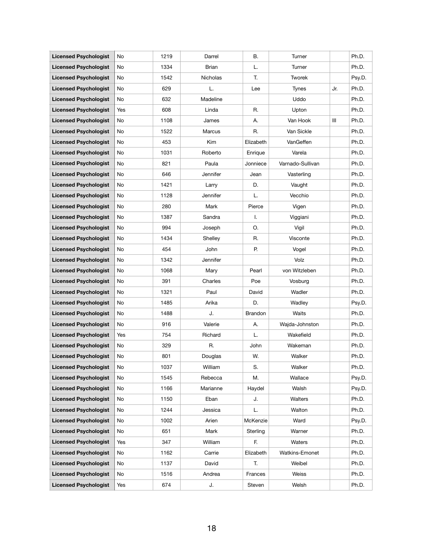| <b>Licensed Psychologist</b> | No  | 1219 | Darrel   | В.        | Turner           |     | Ph.D.  |
|------------------------------|-----|------|----------|-----------|------------------|-----|--------|
| <b>Licensed Psychologist</b> | No  | 1334 | Brian    | L.        | Turner           |     | Ph.D.  |
| <b>Licensed Psychologist</b> | No  | 1542 | Nicholas | Т.        | Tworek           |     | Psy.D. |
| <b>Licensed Psychologist</b> | No  | 629  | L.       | Lee       | <b>Tynes</b>     | Jr. | Ph.D.  |
| <b>Licensed Psychologist</b> | No  | 632  | Madeline |           | Uddo             |     | Ph.D.  |
| <b>Licensed Psychologist</b> | Yes | 608  | Linda    | R.        | Upton            |     | Ph.D.  |
| <b>Licensed Psychologist</b> | No  | 1108 | James    | А.        | Van Hook         | Ш   | Ph.D.  |
| <b>Licensed Psychologist</b> | No  | 1522 | Marcus   | R.        | Van Sickle       |     | Ph.D.  |
| <b>Licensed Psychologist</b> | No  | 453  | Kim      | Elizabeth | VanGeffen        |     | Ph.D.  |
| <b>Licensed Psychologist</b> | No  | 1031 | Roberto  | Enrique   | Varela           |     | Ph.D.  |
| <b>Licensed Psychologist</b> | No  | 821  | Paula    | Jonniece  | Varnado-Sullivan |     | Ph.D.  |
| <b>Licensed Psychologist</b> | No  | 646  | Jennifer | Jean      | Vasterling       |     | Ph.D.  |
| <b>Licensed Psychologist</b> | No  | 1421 | Larry    | D.        | Vaught           |     | Ph.D.  |
| <b>Licensed Psychologist</b> | No  | 1128 | Jennifer | L.        | Vecchio          |     | Ph.D.  |
| <b>Licensed Psychologist</b> | No  | 280  | Mark     | Pierce    | Vigen            |     | Ph.D.  |
| <b>Licensed Psychologist</b> | No  | 1387 | Sandra   | I.        | Viggiani         |     | Ph.D.  |
| <b>Licensed Psychologist</b> | No  | 994  | Joseph   | О.        | Vigil            |     | Ph.D.  |
| <b>Licensed Psychologist</b> | No  | 1434 | Shelley  | R.        | Visconte         |     | Ph.D.  |
| <b>Licensed Psychologist</b> | No  | 454  | John     | Р.        | Vogel            |     | Ph.D.  |
| <b>Licensed Psychologist</b> | No  | 1342 | Jennifer |           | Volz             |     | Ph.D.  |
| <b>Licensed Psychologist</b> | No  | 1068 | Mary     | Pearl     | von Witzleben    |     | Ph.D.  |
| <b>Licensed Psychologist</b> | No  | 391  | Charles  | Poe       | Vosburg          |     | Ph.D.  |
| <b>Licensed Psychologist</b> | No  | 1321 | Paul     | David     | Wadler           |     | Ph.D.  |
| <b>Licensed Psychologist</b> | No  | 1485 | Arika    | D.        | Wadley           |     | Psy.D. |
| <b>Licensed Psychologist</b> | No  | 1488 | J.       | Brandon   | Waits            |     | Ph.D.  |
| <b>Licensed Psychologist</b> | No  | 916  | Valerie  | А.        | Wajda-Johnston   |     | Ph.D.  |
| <b>Licensed Psychologist</b> | Yes | 754  | Richard  | L.        | Wakefield        |     | Ph.D.  |
| <b>Licensed Psychologist</b> | No  | 329  | R.       | John      | Wakeman          |     | Ph.D.  |
| <b>Licensed Psychologist</b> | No  | 801  | Douglas  | W.        | Walker           |     | Ph.D.  |
| <b>Licensed Psychologist</b> | No  | 1037 | William  | S.        | Walker           |     | Ph.D.  |
| <b>Licensed Psychologist</b> | No  | 1545 | Rebecca  | Μ.        | Wallace          |     | Psy.D. |
| <b>Licensed Psychologist</b> | No  | 1166 | Marianne | Haydel    | Walsh            |     | Psy.D. |
| <b>Licensed Psychologist</b> | No  | 1150 | Eban     | J.        | Walters          |     | Ph.D.  |
| <b>Licensed Psychologist</b> | No  | 1244 | Jessica  | L.        | Walton           |     | Ph.D.  |
| <b>Licensed Psychologist</b> | No  | 1002 | Arien    | McKenzie  | Ward             |     | Psy.D. |
| <b>Licensed Psychologist</b> | No  | 651  | Mark     | Sterling  | Warner           |     | Ph.D.  |
| <b>Licensed Psychologist</b> | Yes | 347  | William  | F.        | Waters           |     | Ph.D.  |
| <b>Licensed Psychologist</b> | No  | 1162 | Carrie   | Elizabeth | Watkins-Emonet   |     | Ph.D.  |
| <b>Licensed Psychologist</b> | No  | 1137 | David    | T.        | Weibel           |     | Ph.D.  |
| <b>Licensed Psychologist</b> | No  | 1516 | Andrea   | Frances   | Weiss            |     | Ph.D.  |
| <b>Licensed Psychologist</b> | Yes | 674  | J.       | Steven    | Welsh            |     | Ph.D.  |